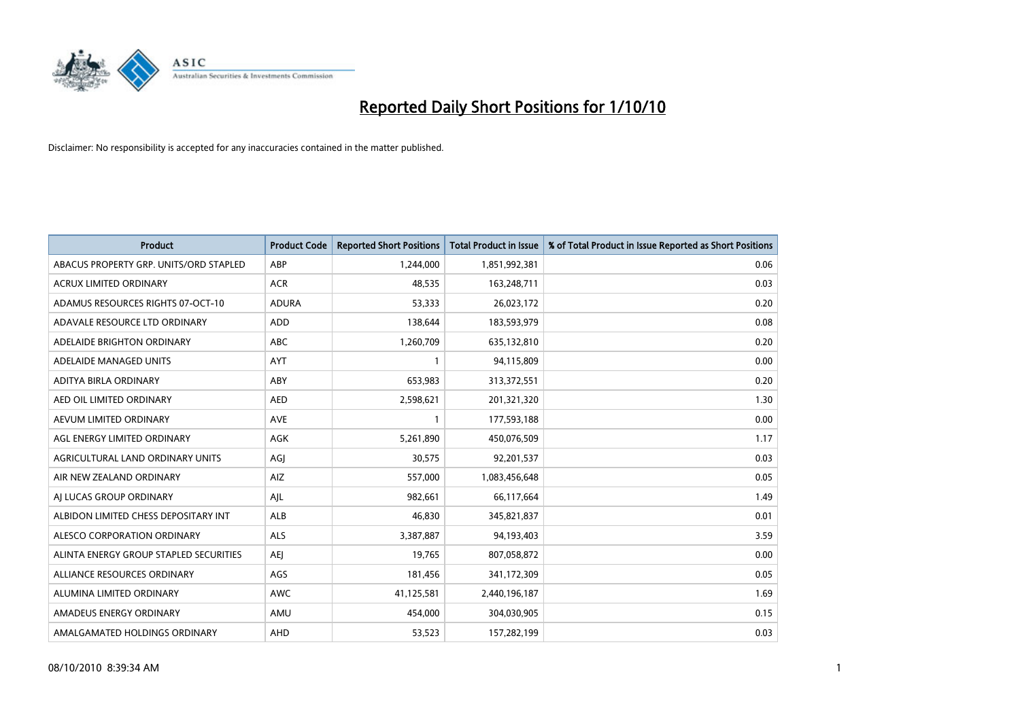

| Product                                | <b>Product Code</b> | <b>Reported Short Positions</b> | <b>Total Product in Issue</b> | % of Total Product in Issue Reported as Short Positions |
|----------------------------------------|---------------------|---------------------------------|-------------------------------|---------------------------------------------------------|
| ABACUS PROPERTY GRP. UNITS/ORD STAPLED | ABP                 | 1,244,000                       | 1,851,992,381                 | 0.06                                                    |
| ACRUX LIMITED ORDINARY                 | <b>ACR</b>          | 48,535                          | 163,248,711                   | 0.03                                                    |
| ADAMUS RESOURCES RIGHTS 07-OCT-10      | <b>ADURA</b>        | 53,333                          | 26,023,172                    | 0.20                                                    |
| ADAVALE RESOURCE LTD ORDINARY          | <b>ADD</b>          | 138,644                         | 183,593,979                   | 0.08                                                    |
| ADELAIDE BRIGHTON ORDINARY             | ABC                 | 1,260,709                       | 635,132,810                   | 0.20                                                    |
| ADELAIDE MANAGED UNITS                 | <b>AYT</b>          |                                 | 94,115,809                    | 0.00                                                    |
| ADITYA BIRLA ORDINARY                  | ABY                 | 653,983                         | 313,372,551                   | 0.20                                                    |
| AED OIL LIMITED ORDINARY               | <b>AED</b>          | 2,598,621                       | 201,321,320                   | 1.30                                                    |
| AEVUM LIMITED ORDINARY                 | <b>AVE</b>          | 1                               | 177,593,188                   | 0.00                                                    |
| AGL ENERGY LIMITED ORDINARY            | <b>AGK</b>          | 5,261,890                       | 450,076,509                   | 1.17                                                    |
| AGRICULTURAL LAND ORDINARY UNITS       | AGJ                 | 30,575                          | 92,201,537                    | 0.03                                                    |
| AIR NEW ZEALAND ORDINARY               | AIZ                 | 557,000                         | 1,083,456,648                 | 0.05                                                    |
| AI LUCAS GROUP ORDINARY                | AJL                 | 982,661                         | 66,117,664                    | 1.49                                                    |
| ALBIDON LIMITED CHESS DEPOSITARY INT   | ALB                 | 46,830                          | 345,821,837                   | 0.01                                                    |
| ALESCO CORPORATION ORDINARY            | <b>ALS</b>          | 3,387,887                       | 94,193,403                    | 3.59                                                    |
| ALINTA ENERGY GROUP STAPLED SECURITIES | <b>AEI</b>          | 19,765                          | 807,058,872                   | 0.00                                                    |
| ALLIANCE RESOURCES ORDINARY            | AGS                 | 181,456                         | 341,172,309                   | 0.05                                                    |
| ALUMINA LIMITED ORDINARY               | <b>AWC</b>          | 41,125,581                      | 2,440,196,187                 | 1.69                                                    |
| AMADEUS ENERGY ORDINARY                | AMU                 | 454,000                         | 304,030,905                   | 0.15                                                    |
| AMALGAMATED HOLDINGS ORDINARY          | AHD                 | 53,523                          | 157,282,199                   | 0.03                                                    |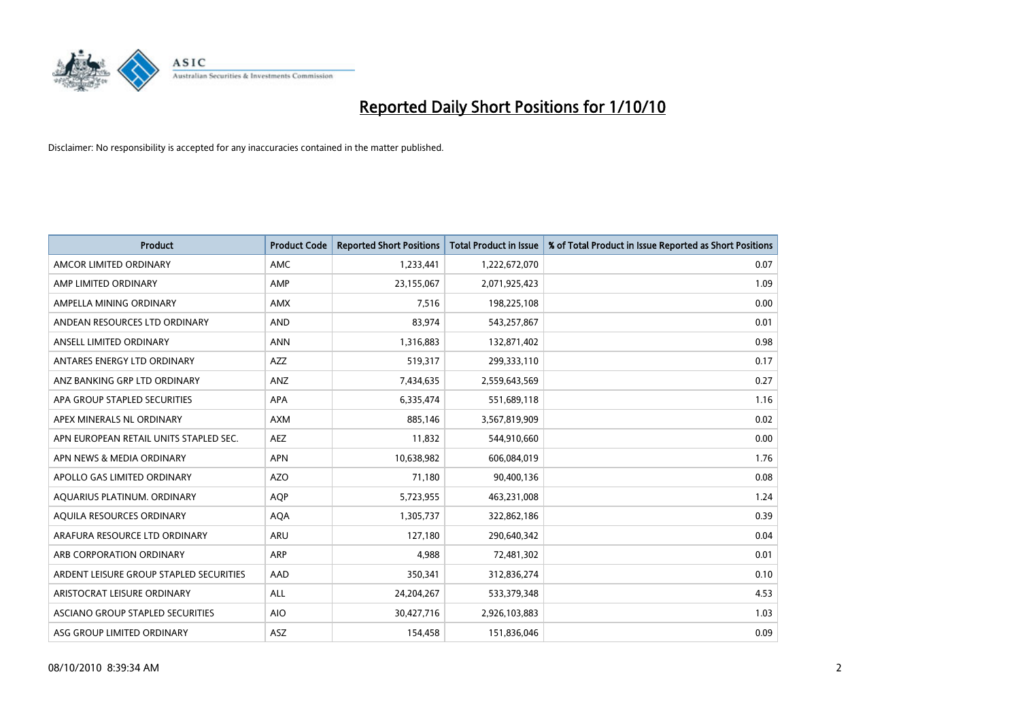

| <b>Product</b>                          | <b>Product Code</b> | <b>Reported Short Positions</b> | <b>Total Product in Issue</b> | % of Total Product in Issue Reported as Short Positions |
|-----------------------------------------|---------------------|---------------------------------|-------------------------------|---------------------------------------------------------|
| AMCOR LIMITED ORDINARY                  | <b>AMC</b>          | 1,233,441                       | 1,222,672,070                 | 0.07                                                    |
| AMP LIMITED ORDINARY                    | AMP                 | 23,155,067                      | 2,071,925,423                 | 1.09                                                    |
| AMPELLA MINING ORDINARY                 | <b>AMX</b>          | 7,516                           | 198,225,108                   | 0.00                                                    |
| ANDEAN RESOURCES LTD ORDINARY           | <b>AND</b>          | 83,974                          | 543,257,867                   | 0.01                                                    |
| ANSELL LIMITED ORDINARY                 | <b>ANN</b>          | 1,316,883                       | 132,871,402                   | 0.98                                                    |
| ANTARES ENERGY LTD ORDINARY             | <b>AZZ</b>          | 519,317                         | 299,333,110                   | 0.17                                                    |
| ANZ BANKING GRP LTD ORDINARY            | ANZ                 | 7,434,635                       | 2,559,643,569                 | 0.27                                                    |
| APA GROUP STAPLED SECURITIES            | <b>APA</b>          | 6,335,474                       | 551,689,118                   | 1.16                                                    |
| APEX MINERALS NL ORDINARY               | <b>AXM</b>          | 885,146                         | 3,567,819,909                 | 0.02                                                    |
| APN EUROPEAN RETAIL UNITS STAPLED SEC.  | <b>AEZ</b>          | 11,832                          | 544,910,660                   | 0.00                                                    |
| APN NEWS & MEDIA ORDINARY               | <b>APN</b>          | 10,638,982                      | 606,084,019                   | 1.76                                                    |
| APOLLO GAS LIMITED ORDINARY             | <b>AZO</b>          | 71,180                          | 90,400,136                    | 0.08                                                    |
| AQUARIUS PLATINUM. ORDINARY             | <b>AOP</b>          | 5,723,955                       | 463,231,008                   | 1.24                                                    |
| AQUILA RESOURCES ORDINARY               | <b>AQA</b>          | 1,305,737                       | 322,862,186                   | 0.39                                                    |
| ARAFURA RESOURCE LTD ORDINARY           | <b>ARU</b>          | 127,180                         | 290,640,342                   | 0.04                                                    |
| ARB CORPORATION ORDINARY                | ARP                 | 4.988                           | 72,481,302                    | 0.01                                                    |
| ARDENT LEISURE GROUP STAPLED SECURITIES | AAD                 | 350,341                         | 312,836,274                   | 0.10                                                    |
| ARISTOCRAT LEISURE ORDINARY             | ALL                 | 24,204,267                      | 533,379,348                   | 4.53                                                    |
| ASCIANO GROUP STAPLED SECURITIES        | <b>AIO</b>          | 30,427,716                      | 2,926,103,883                 | 1.03                                                    |
| ASG GROUP LIMITED ORDINARY              | ASZ                 | 154,458                         | 151,836,046                   | 0.09                                                    |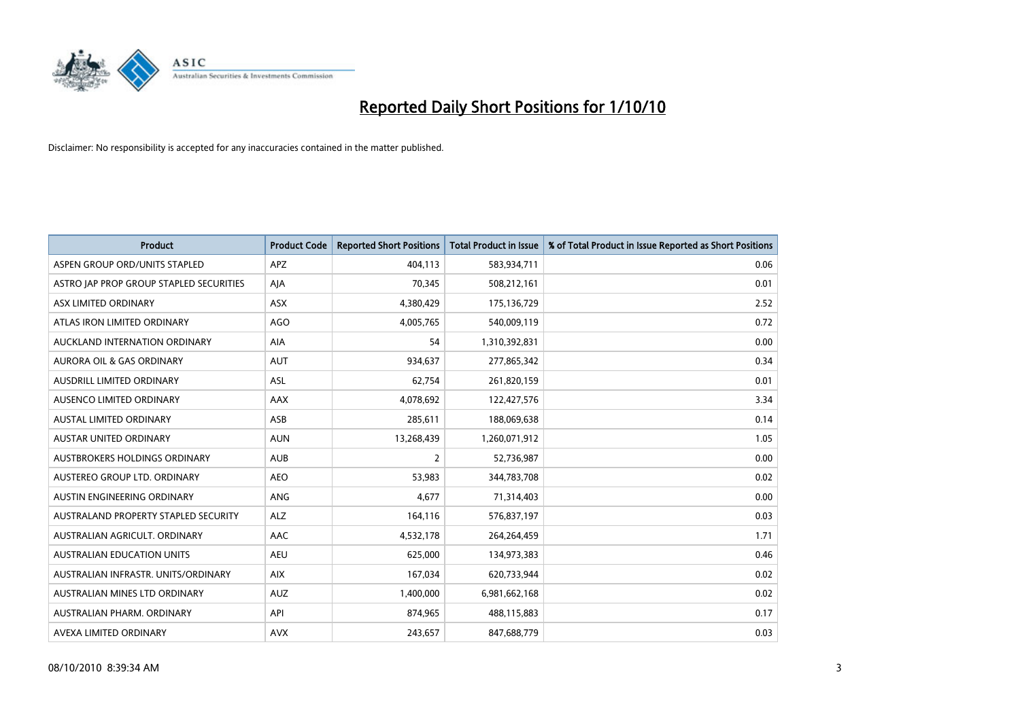

| <b>Product</b>                          | <b>Product Code</b> | <b>Reported Short Positions</b> | Total Product in Issue | % of Total Product in Issue Reported as Short Positions |
|-----------------------------------------|---------------------|---------------------------------|------------------------|---------------------------------------------------------|
| ASPEN GROUP ORD/UNITS STAPLED           | <b>APZ</b>          | 404,113                         | 583,934,711            | 0.06                                                    |
| ASTRO JAP PROP GROUP STAPLED SECURITIES | AJA                 | 70.345                          | 508,212,161            | 0.01                                                    |
| ASX LIMITED ORDINARY                    | ASX                 | 4,380,429                       | 175,136,729            | 2.52                                                    |
| ATLAS IRON LIMITED ORDINARY             | <b>AGO</b>          | 4,005,765                       | 540,009,119            | 0.72                                                    |
| AUCKLAND INTERNATION ORDINARY           | <b>AIA</b>          | 54                              | 1,310,392,831          | 0.00                                                    |
| <b>AURORA OIL &amp; GAS ORDINARY</b>    | <b>AUT</b>          | 934,637                         | 277,865,342            | 0.34                                                    |
| <b>AUSDRILL LIMITED ORDINARY</b>        | <b>ASL</b>          | 62,754                          | 261,820,159            | 0.01                                                    |
| AUSENCO LIMITED ORDINARY                | <b>AAX</b>          | 4,078,692                       | 122,427,576            | 3.34                                                    |
| AUSTAL LIMITED ORDINARY                 | ASB                 | 285,611                         | 188,069,638            | 0.14                                                    |
| <b>AUSTAR UNITED ORDINARY</b>           | <b>AUN</b>          | 13,268,439                      | 1,260,071,912          | 1.05                                                    |
| AUSTBROKERS HOLDINGS ORDINARY           | <b>AUB</b>          | 2                               | 52,736,987             | 0.00                                                    |
| AUSTEREO GROUP LTD. ORDINARY            | <b>AEO</b>          | 53,983                          | 344,783,708            | 0.02                                                    |
| AUSTIN ENGINEERING ORDINARY             | <b>ANG</b>          | 4.677                           | 71,314,403             | 0.00                                                    |
| AUSTRALAND PROPERTY STAPLED SECURITY    | <b>ALZ</b>          | 164,116                         | 576,837,197            | 0.03                                                    |
| AUSTRALIAN AGRICULT, ORDINARY           | AAC                 | 4,532,178                       | 264,264,459            | 1.71                                                    |
| <b>AUSTRALIAN EDUCATION UNITS</b>       | <b>AEU</b>          | 625,000                         | 134,973,383            | 0.46                                                    |
| AUSTRALIAN INFRASTR, UNITS/ORDINARY     | <b>AIX</b>          | 167,034                         | 620,733,944            | 0.02                                                    |
| AUSTRALIAN MINES LTD ORDINARY           | <b>AUZ</b>          | 1,400,000                       | 6,981,662,168          | 0.02                                                    |
| AUSTRALIAN PHARM, ORDINARY              | API                 | 874,965                         | 488,115,883            | 0.17                                                    |
| AVEXA LIMITED ORDINARY                  | <b>AVX</b>          | 243,657                         | 847,688,779            | 0.03                                                    |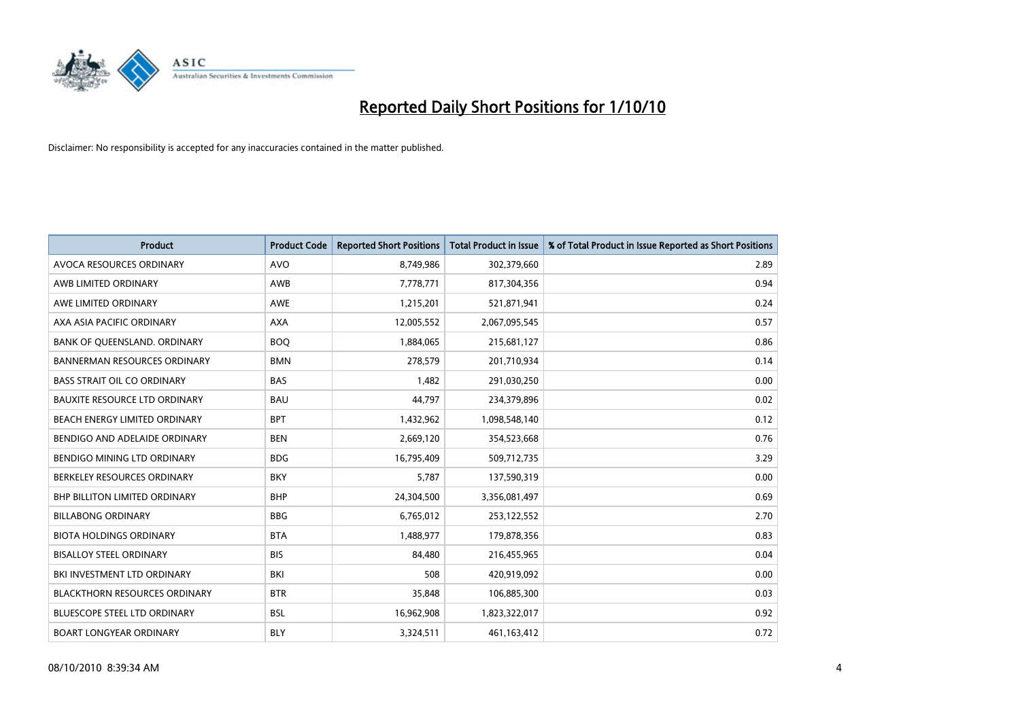

| Product                              | <b>Product Code</b> | <b>Reported Short Positions</b> | Total Product in Issue | % of Total Product in Issue Reported as Short Positions |
|--------------------------------------|---------------------|---------------------------------|------------------------|---------------------------------------------------------|
| AVOCA RESOURCES ORDINARY             | <b>AVO</b>          | 8,749,986                       | 302,379,660            | 2.89                                                    |
| AWB LIMITED ORDINARY                 | AWB                 | 7,778,771                       | 817,304,356            | 0.94                                                    |
| AWE LIMITED ORDINARY                 | <b>AWE</b>          | 1,215,201                       | 521,871,941            | 0.24                                                    |
| AXA ASIA PACIFIC ORDINARY            | <b>AXA</b>          | 12,005,552                      | 2,067,095,545          | 0.57                                                    |
| BANK OF QUEENSLAND. ORDINARY         | <b>BOO</b>          | 1,884,065                       | 215,681,127            | 0.86                                                    |
| <b>BANNERMAN RESOURCES ORDINARY</b>  | <b>BMN</b>          | 278,579                         | 201,710,934            | 0.14                                                    |
| <b>BASS STRAIT OIL CO ORDINARY</b>   | <b>BAS</b>          | 1,482                           | 291,030,250            | 0.00                                                    |
| <b>BAUXITE RESOURCE LTD ORDINARY</b> | <b>BAU</b>          | 44,797                          | 234,379,896            | 0.02                                                    |
| BEACH ENERGY LIMITED ORDINARY        | <b>BPT</b>          | 1,432,962                       | 1,098,548,140          | 0.12                                                    |
| BENDIGO AND ADELAIDE ORDINARY        | <b>BEN</b>          | 2,669,120                       | 354,523,668            | 0.76                                                    |
| BENDIGO MINING LTD ORDINARY          | <b>BDG</b>          | 16,795,409                      | 509,712,735            | 3.29                                                    |
| BERKELEY RESOURCES ORDINARY          | <b>BKY</b>          | 5,787                           | 137,590,319            | 0.00                                                    |
| <b>BHP BILLITON LIMITED ORDINARY</b> | <b>BHP</b>          | 24,304,500                      | 3,356,081,497          | 0.69                                                    |
| <b>BILLABONG ORDINARY</b>            | <b>BBG</b>          | 6,765,012                       | 253,122,552            | 2.70                                                    |
| <b>BIOTA HOLDINGS ORDINARY</b>       | <b>BTA</b>          | 1,488,977                       | 179,878,356            | 0.83                                                    |
| <b>BISALLOY STEEL ORDINARY</b>       | <b>BIS</b>          | 84,480                          | 216,455,965            | 0.04                                                    |
| BKI INVESTMENT LTD ORDINARY          | BKI                 | 508                             | 420,919,092            | 0.00                                                    |
| <b>BLACKTHORN RESOURCES ORDINARY</b> | <b>BTR</b>          | 35,848                          | 106,885,300            | 0.03                                                    |
| <b>BLUESCOPE STEEL LTD ORDINARY</b>  | <b>BSL</b>          | 16,962,908                      | 1,823,322,017          | 0.92                                                    |
| <b>BOART LONGYEAR ORDINARY</b>       | <b>BLY</b>          | 3,324,511                       | 461,163,412            | 0.72                                                    |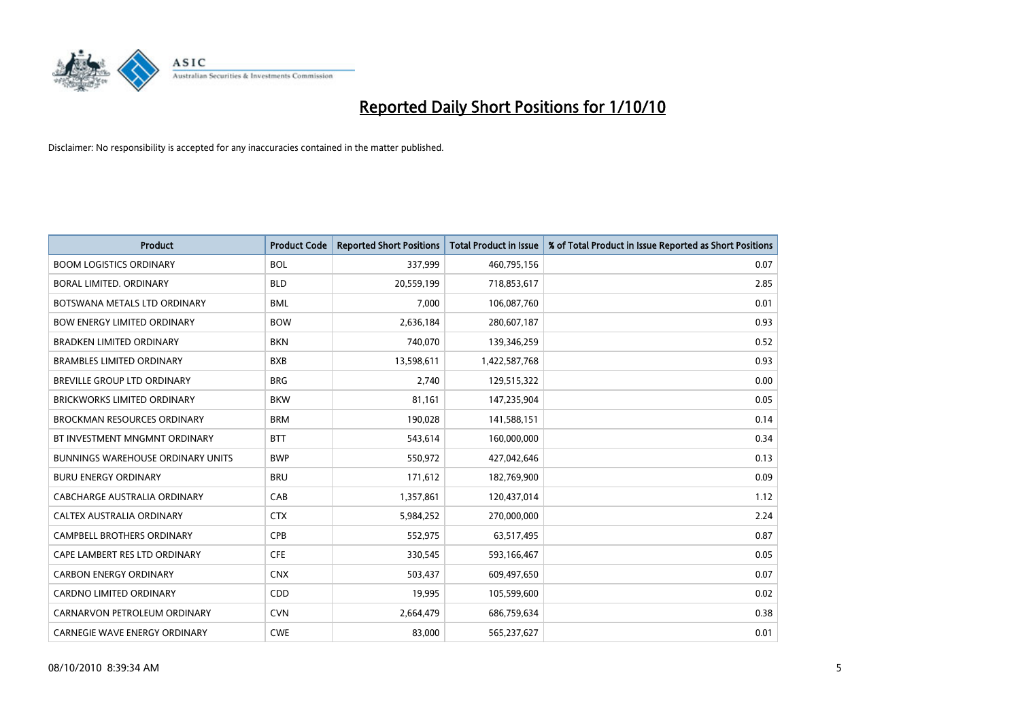

| <b>Product</b>                           | <b>Product Code</b> | <b>Reported Short Positions</b> | Total Product in Issue | % of Total Product in Issue Reported as Short Positions |
|------------------------------------------|---------------------|---------------------------------|------------------------|---------------------------------------------------------|
| <b>BOOM LOGISTICS ORDINARY</b>           | <b>BOL</b>          | 337,999                         | 460,795,156            | 0.07                                                    |
| BORAL LIMITED. ORDINARY                  | <b>BLD</b>          | 20,559,199                      | 718,853,617            | 2.85                                                    |
| BOTSWANA METALS LTD ORDINARY             | <b>BML</b>          | 7.000                           | 106,087,760            | 0.01                                                    |
| <b>BOW ENERGY LIMITED ORDINARY</b>       | <b>BOW</b>          | 2,636,184                       | 280,607,187            | 0.93                                                    |
| <b>BRADKEN LIMITED ORDINARY</b>          | <b>BKN</b>          | 740,070                         | 139,346,259            | 0.52                                                    |
| <b>BRAMBLES LIMITED ORDINARY</b>         | <b>BXB</b>          | 13,598,611                      | 1,422,587,768          | 0.93                                                    |
| BREVILLE GROUP LTD ORDINARY              | <b>BRG</b>          | 2,740                           | 129,515,322            | 0.00                                                    |
| <b>BRICKWORKS LIMITED ORDINARY</b>       | <b>BKW</b>          | 81,161                          | 147,235,904            | 0.05                                                    |
| <b>BROCKMAN RESOURCES ORDINARY</b>       | <b>BRM</b>          | 190,028                         | 141,588,151            | 0.14                                                    |
| BT INVESTMENT MNGMNT ORDINARY            | <b>BTT</b>          | 543,614                         | 160,000,000            | 0.34                                                    |
| <b>BUNNINGS WAREHOUSE ORDINARY UNITS</b> | <b>BWP</b>          | 550,972                         | 427,042,646            | 0.13                                                    |
| <b>BURU ENERGY ORDINARY</b>              | <b>BRU</b>          | 171,612                         | 182,769,900            | 0.09                                                    |
| <b>CABCHARGE AUSTRALIA ORDINARY</b>      | CAB                 | 1,357,861                       | 120,437,014            | 1.12                                                    |
| <b>CALTEX AUSTRALIA ORDINARY</b>         | <b>CTX</b>          | 5,984,252                       | 270,000,000            | 2.24                                                    |
| <b>CAMPBELL BROTHERS ORDINARY</b>        | CPB                 | 552,975                         | 63,517,495             | 0.87                                                    |
| CAPE LAMBERT RES LTD ORDINARY            | <b>CFE</b>          | 330,545                         | 593,166,467            | 0.05                                                    |
| <b>CARBON ENERGY ORDINARY</b>            | <b>CNX</b>          | 503,437                         | 609,497,650            | 0.07                                                    |
| CARDNO LIMITED ORDINARY                  | CDD                 | 19,995                          | 105,599,600            | 0.02                                                    |
| CARNARVON PETROLEUM ORDINARY             | <b>CVN</b>          | 2,664,479                       | 686,759,634            | 0.38                                                    |
| <b>CARNEGIE WAVE ENERGY ORDINARY</b>     | <b>CWE</b>          | 83,000                          | 565,237,627            | 0.01                                                    |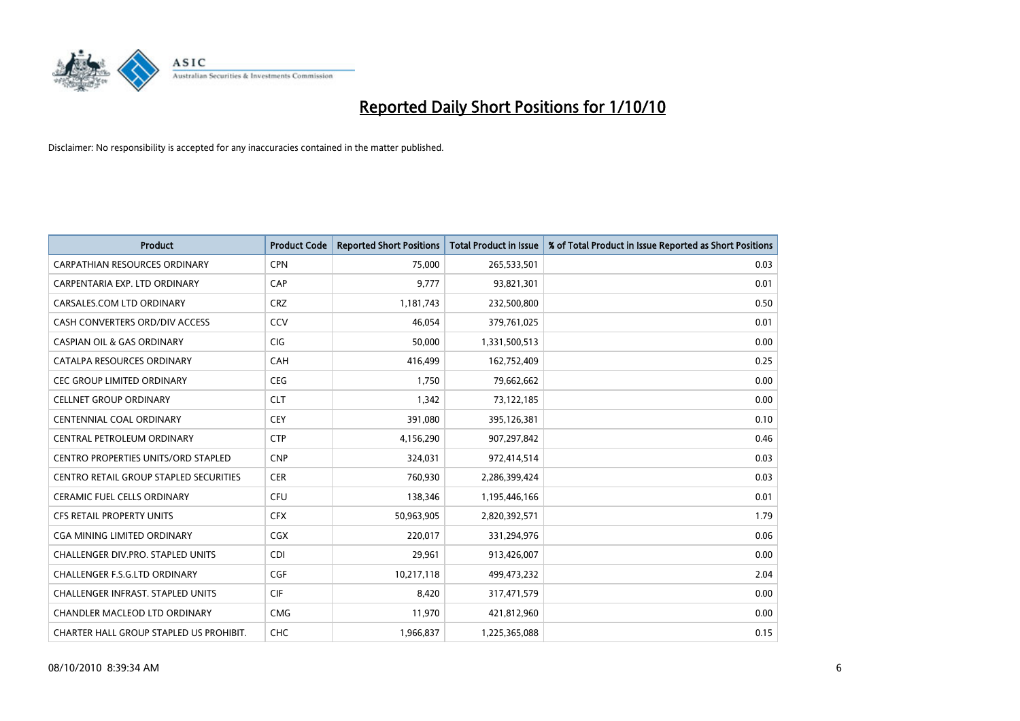

| <b>Product</b>                                | <b>Product Code</b> | <b>Reported Short Positions</b> | Total Product in Issue | % of Total Product in Issue Reported as Short Positions |
|-----------------------------------------------|---------------------|---------------------------------|------------------------|---------------------------------------------------------|
| <b>CARPATHIAN RESOURCES ORDINARY</b>          | <b>CPN</b>          | 75,000                          | 265,533,501            | 0.03                                                    |
| CARPENTARIA EXP. LTD ORDINARY                 | CAP                 | 9.777                           | 93,821,301             | 0.01                                                    |
| CARSALES.COM LTD ORDINARY                     | <b>CRZ</b>          | 1,181,743                       | 232,500,800            | 0.50                                                    |
| CASH CONVERTERS ORD/DIV ACCESS                | CCV                 | 46,054                          | 379,761,025            | 0.01                                                    |
| <b>CASPIAN OIL &amp; GAS ORDINARY</b>         | <b>CIG</b>          | 50.000                          | 1,331,500,513          | 0.00                                                    |
| CATALPA RESOURCES ORDINARY                    | CAH                 | 416,499                         | 162,752,409            | 0.25                                                    |
| <b>CEC GROUP LIMITED ORDINARY</b>             | <b>CEG</b>          | 1.750                           | 79,662,662             | 0.00                                                    |
| <b>CELLNET GROUP ORDINARY</b>                 | <b>CLT</b>          | 1.342                           | 73,122,185             | 0.00                                                    |
| <b>CENTENNIAL COAL ORDINARY</b>               | <b>CEY</b>          | 391,080                         | 395,126,381            | 0.10                                                    |
| CENTRAL PETROLEUM ORDINARY                    | <b>CTP</b>          | 4,156,290                       | 907,297,842            | 0.46                                                    |
| <b>CENTRO PROPERTIES UNITS/ORD STAPLED</b>    | <b>CNP</b>          | 324,031                         | 972,414,514            | 0.03                                                    |
| <b>CENTRO RETAIL GROUP STAPLED SECURITIES</b> | <b>CER</b>          | 760,930                         | 2,286,399,424          | 0.03                                                    |
| <b>CERAMIC FUEL CELLS ORDINARY</b>            | <b>CFU</b>          | 138,346                         | 1,195,446,166          | 0.01                                                    |
| <b>CFS RETAIL PROPERTY UNITS</b>              | <b>CFX</b>          | 50,963,905                      | 2,820,392,571          | 1.79                                                    |
| CGA MINING LIMITED ORDINARY                   | <b>CGX</b>          | 220,017                         | 331,294,976            | 0.06                                                    |
| <b>CHALLENGER DIV.PRO. STAPLED UNITS</b>      | <b>CDI</b>          | 29,961                          | 913,426,007            | 0.00                                                    |
| <b>CHALLENGER F.S.G.LTD ORDINARY</b>          | <b>CGF</b>          | 10,217,118                      | 499,473,232            | 2.04                                                    |
| CHALLENGER INFRAST. STAPLED UNITS             | <b>CIF</b>          | 8,420                           | 317,471,579            | 0.00                                                    |
| <b>CHANDLER MACLEOD LTD ORDINARY</b>          | <b>CMG</b>          | 11,970                          | 421,812,960            | 0.00                                                    |
| CHARTER HALL GROUP STAPLED US PROHIBIT.       | <b>CHC</b>          | 1,966,837                       | 1,225,365,088          | 0.15                                                    |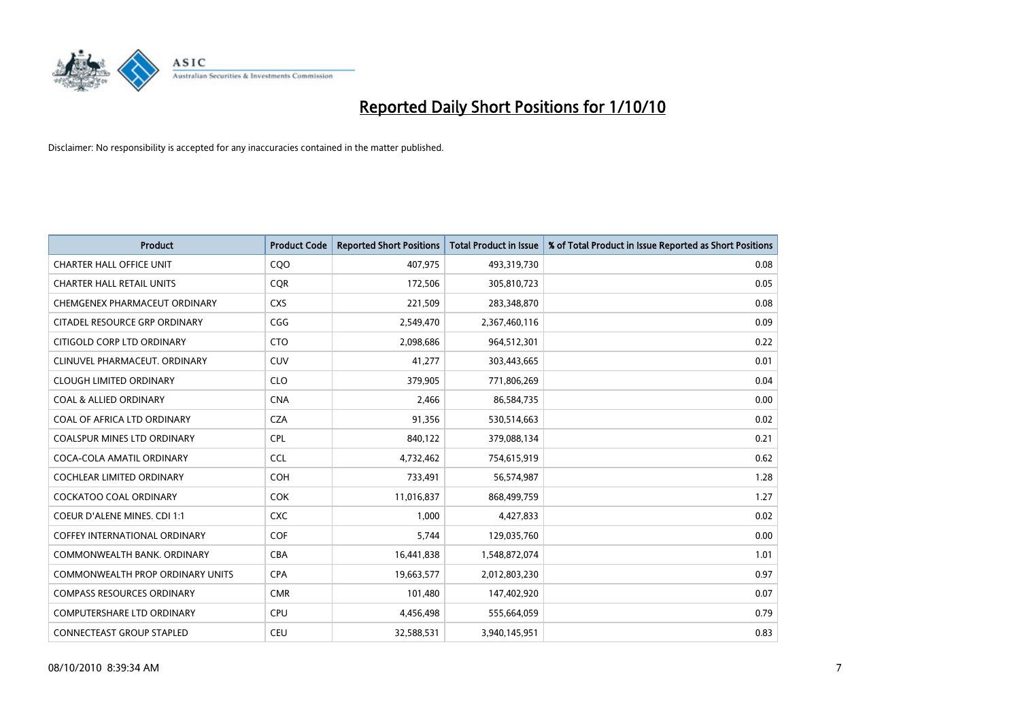

| <b>Product</b>                          | <b>Product Code</b> | <b>Reported Short Positions</b> | <b>Total Product in Issue</b> | % of Total Product in Issue Reported as Short Positions |
|-----------------------------------------|---------------------|---------------------------------|-------------------------------|---------------------------------------------------------|
| <b>CHARTER HALL OFFICE UNIT</b>         | CQO                 | 407,975                         | 493,319,730                   | 0.08                                                    |
| <b>CHARTER HALL RETAIL UNITS</b>        | <b>COR</b>          | 172,506                         | 305,810,723                   | 0.05                                                    |
| CHEMGENEX PHARMACEUT ORDINARY           | <b>CXS</b>          | 221,509                         | 283,348,870                   | 0.08                                                    |
| CITADEL RESOURCE GRP ORDINARY           | CGG                 | 2,549,470                       | 2,367,460,116                 | 0.09                                                    |
| CITIGOLD CORP LTD ORDINARY              | <b>CTO</b>          | 2,098,686                       | 964,512,301                   | 0.22                                                    |
| CLINUVEL PHARMACEUT, ORDINARY           | CUV                 | 41,277                          | 303,443,665                   | 0.01                                                    |
| <b>CLOUGH LIMITED ORDINARY</b>          | <b>CLO</b>          | 379,905                         | 771,806,269                   | 0.04                                                    |
| <b>COAL &amp; ALLIED ORDINARY</b>       | <b>CNA</b>          | 2,466                           | 86,584,735                    | 0.00                                                    |
| COAL OF AFRICA LTD ORDINARY             | <b>CZA</b>          | 91,356                          | 530,514,663                   | 0.02                                                    |
| <b>COALSPUR MINES LTD ORDINARY</b>      | <b>CPL</b>          | 840,122                         | 379,088,134                   | 0.21                                                    |
| COCA-COLA AMATIL ORDINARY               | <b>CCL</b>          | 4,732,462                       | 754,615,919                   | 0.62                                                    |
| <b>COCHLEAR LIMITED ORDINARY</b>        | <b>COH</b>          | 733,491                         | 56,574,987                    | 1.28                                                    |
| <b>COCKATOO COAL ORDINARY</b>           | <b>COK</b>          | 11,016,837                      | 868,499,759                   | 1.27                                                    |
| <b>COEUR D'ALENE MINES. CDI 1:1</b>     | <b>CXC</b>          | 1,000                           | 4,427,833                     | 0.02                                                    |
| <b>COFFEY INTERNATIONAL ORDINARY</b>    | <b>COF</b>          | 5,744                           | 129,035,760                   | 0.00                                                    |
| COMMONWEALTH BANK, ORDINARY             | <b>CBA</b>          | 16,441,838                      | 1,548,872,074                 | 1.01                                                    |
| <b>COMMONWEALTH PROP ORDINARY UNITS</b> | <b>CPA</b>          | 19,663,577                      | 2,012,803,230                 | 0.97                                                    |
| <b>COMPASS RESOURCES ORDINARY</b>       | <b>CMR</b>          | 101,480                         | 147,402,920                   | 0.07                                                    |
| <b>COMPUTERSHARE LTD ORDINARY</b>       | <b>CPU</b>          | 4,456,498                       | 555,664,059                   | 0.79                                                    |
| <b>CONNECTEAST GROUP STAPLED</b>        | <b>CEU</b>          | 32,588,531                      | 3,940,145,951                 | 0.83                                                    |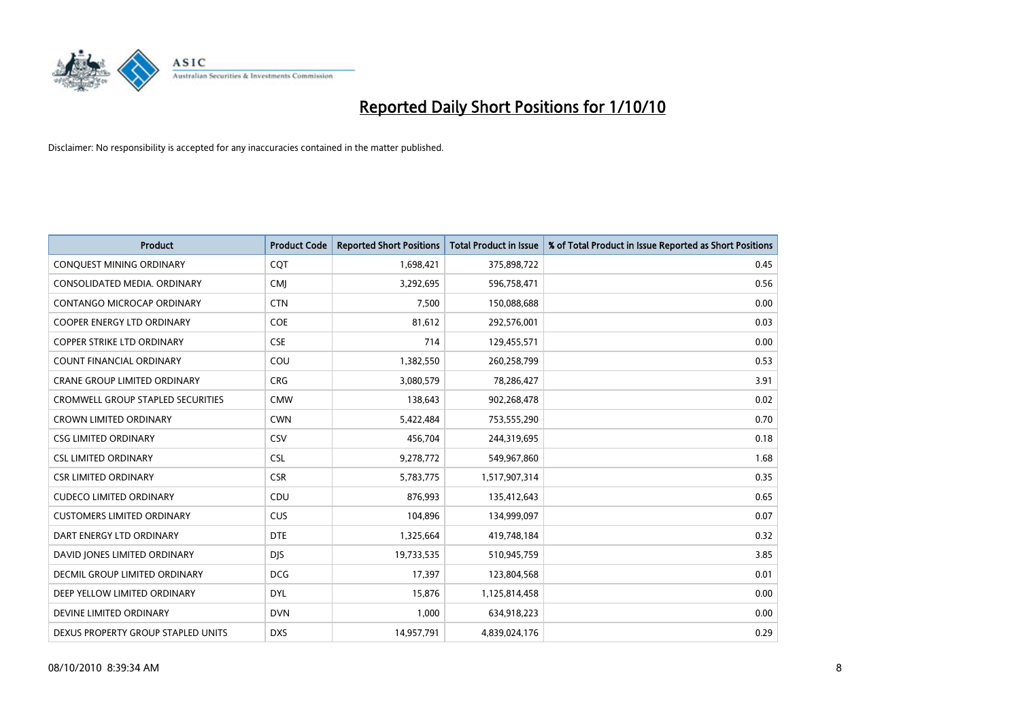

| <b>Product</b>                      | <b>Product Code</b> | <b>Reported Short Positions</b> | <b>Total Product in Issue</b> | % of Total Product in Issue Reported as Short Positions |
|-------------------------------------|---------------------|---------------------------------|-------------------------------|---------------------------------------------------------|
| CONQUEST MINING ORDINARY            | CQT                 | 1,698,421                       | 375,898,722                   | 0.45                                                    |
| CONSOLIDATED MEDIA. ORDINARY        | <b>CMI</b>          | 3,292,695                       | 596,758,471                   | 0.56                                                    |
| <b>CONTANGO MICROCAP ORDINARY</b>   | <b>CTN</b>          | 7,500                           | 150,088,688                   | 0.00                                                    |
| COOPER ENERGY LTD ORDINARY          | <b>COE</b>          | 81,612                          | 292,576,001                   | 0.03                                                    |
| <b>COPPER STRIKE LTD ORDINARY</b>   | <b>CSE</b>          | 714                             | 129,455,571                   | 0.00                                                    |
| <b>COUNT FINANCIAL ORDINARY</b>     | COU                 | 1,382,550                       | 260,258,799                   | 0.53                                                    |
| <b>CRANE GROUP LIMITED ORDINARY</b> | <b>CRG</b>          | 3,080,579                       | 78,286,427                    | 3.91                                                    |
| CROMWELL GROUP STAPLED SECURITIES   | <b>CMW</b>          | 138,643                         | 902,268,478                   | 0.02                                                    |
| <b>CROWN LIMITED ORDINARY</b>       | <b>CWN</b>          | 5,422,484                       | 753,555,290                   | 0.70                                                    |
| <b>CSG LIMITED ORDINARY</b>         | <b>CSV</b>          | 456,704                         | 244,319,695                   | 0.18                                                    |
| <b>CSL LIMITED ORDINARY</b>         | <b>CSL</b>          | 9,278,772                       | 549,967,860                   | 1.68                                                    |
| <b>CSR LIMITED ORDINARY</b>         | <b>CSR</b>          | 5,783,775                       | 1,517,907,314                 | 0.35                                                    |
| <b>CUDECO LIMITED ORDINARY</b>      | CDU                 | 876,993                         | 135,412,643                   | 0.65                                                    |
| <b>CUSTOMERS LIMITED ORDINARY</b>   | <b>CUS</b>          | 104,896                         | 134,999,097                   | 0.07                                                    |
| DART ENERGY LTD ORDINARY            | <b>DTE</b>          | 1,325,664                       | 419,748,184                   | 0.32                                                    |
| DAVID JONES LIMITED ORDINARY        | <b>DIS</b>          | 19,733,535                      | 510,945,759                   | 3.85                                                    |
| DECMIL GROUP LIMITED ORDINARY       | <b>DCG</b>          | 17,397                          | 123,804,568                   | 0.01                                                    |
| DEEP YELLOW LIMITED ORDINARY        | <b>DYL</b>          | 15,876                          | 1,125,814,458                 | 0.00                                                    |
| DEVINE LIMITED ORDINARY             | <b>DVN</b>          | 1,000                           | 634,918,223                   | 0.00                                                    |
| DEXUS PROPERTY GROUP STAPLED UNITS  | <b>DXS</b>          | 14,957,791                      | 4,839,024,176                 | 0.29                                                    |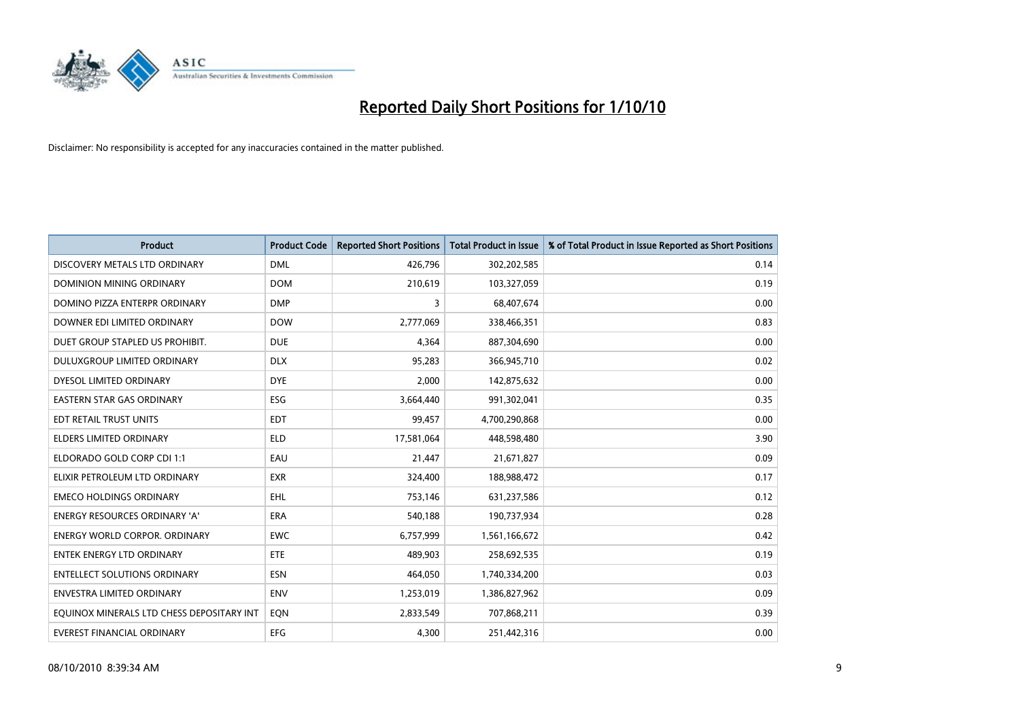

| <b>Product</b>                            | <b>Product Code</b> | <b>Reported Short Positions</b> | <b>Total Product in Issue</b> | % of Total Product in Issue Reported as Short Positions |
|-------------------------------------------|---------------------|---------------------------------|-------------------------------|---------------------------------------------------------|
| DISCOVERY METALS LTD ORDINARY             | <b>DML</b>          | 426,796                         | 302,202,585                   | 0.14                                                    |
| DOMINION MINING ORDINARY                  | <b>DOM</b>          | 210,619                         | 103,327,059                   | 0.19                                                    |
| DOMINO PIZZA ENTERPR ORDINARY             | <b>DMP</b>          | 3                               | 68,407,674                    | 0.00                                                    |
| DOWNER EDI LIMITED ORDINARY               | <b>DOW</b>          | 2,777,069                       | 338,466,351                   | 0.83                                                    |
| DUET GROUP STAPLED US PROHIBIT.           | <b>DUE</b>          | 4,364                           | 887,304,690                   | 0.00                                                    |
| DULUXGROUP LIMITED ORDINARY               | <b>DLX</b>          | 95,283                          | 366,945,710                   | 0.02                                                    |
| DYESOL LIMITED ORDINARY                   | <b>DYE</b>          | 2.000                           | 142,875,632                   | 0.00                                                    |
| <b>EASTERN STAR GAS ORDINARY</b>          | ESG                 | 3,664,440                       | 991,302,041                   | 0.35                                                    |
| EDT RETAIL TRUST UNITS                    | <b>EDT</b>          | 99,457                          | 4,700,290,868                 | 0.00                                                    |
| <b>ELDERS LIMITED ORDINARY</b>            | <b>ELD</b>          | 17,581,064                      | 448,598,480                   | 3.90                                                    |
| ELDORADO GOLD CORP CDI 1:1                | EAU                 | 21,447                          | 21,671,827                    | 0.09                                                    |
| ELIXIR PETROLEUM LTD ORDINARY             | <b>EXR</b>          | 324,400                         | 188,988,472                   | 0.17                                                    |
| <b>EMECO HOLDINGS ORDINARY</b>            | <b>EHL</b>          | 753,146                         | 631,237,586                   | 0.12                                                    |
| <b>ENERGY RESOURCES ORDINARY 'A'</b>      | ERA                 | 540,188                         | 190,737,934                   | 0.28                                                    |
| <b>ENERGY WORLD CORPOR, ORDINARY</b>      | <b>EWC</b>          | 6,757,999                       | 1,561,166,672                 | 0.42                                                    |
| ENTEK ENERGY LTD ORDINARY                 | <b>ETE</b>          | 489,903                         | 258,692,535                   | 0.19                                                    |
| <b>ENTELLECT SOLUTIONS ORDINARY</b>       | <b>ESN</b>          | 464,050                         | 1,740,334,200                 | 0.03                                                    |
| <b>ENVESTRA LIMITED ORDINARY</b>          | <b>ENV</b>          | 1,253,019                       | 1,386,827,962                 | 0.09                                                    |
| EQUINOX MINERALS LTD CHESS DEPOSITARY INT | EON                 | 2,833,549                       | 707,868,211                   | 0.39                                                    |
| EVEREST FINANCIAL ORDINARY                | <b>EFG</b>          | 4.300                           | 251,442,316                   | 0.00                                                    |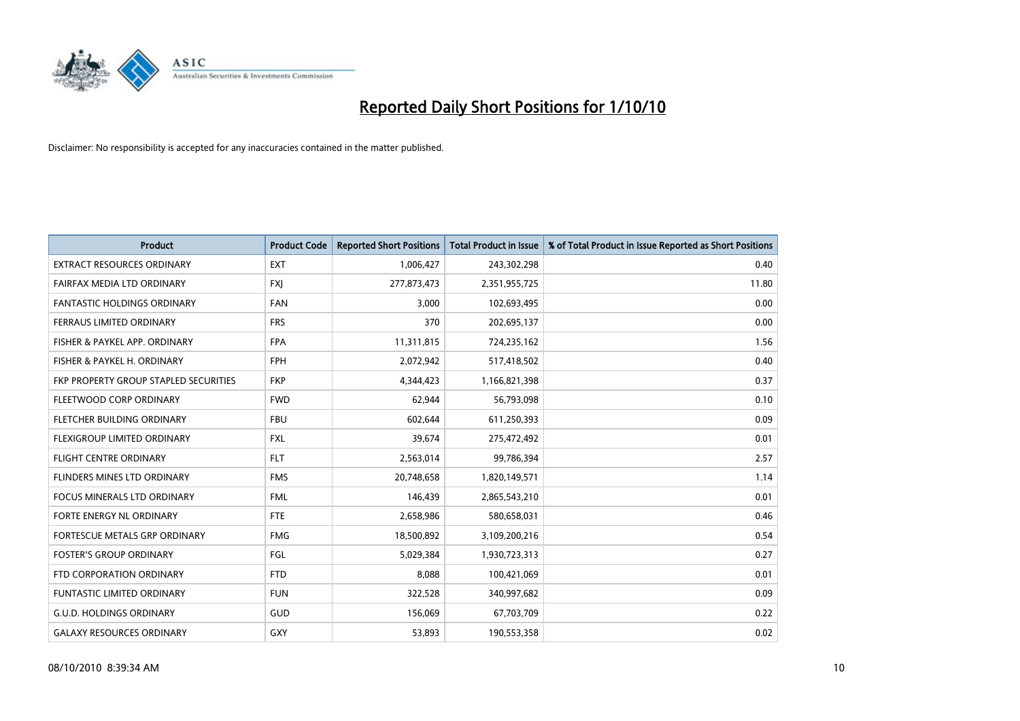

| <b>Product</b>                        | <b>Product Code</b> | <b>Reported Short Positions</b> | Total Product in Issue | % of Total Product in Issue Reported as Short Positions |
|---------------------------------------|---------------------|---------------------------------|------------------------|---------------------------------------------------------|
| <b>EXTRACT RESOURCES ORDINARY</b>     | <b>EXT</b>          | 1,006,427                       | 243,302,298            | 0.40                                                    |
| FAIRFAX MEDIA LTD ORDINARY            | <b>FXI</b>          | 277,873,473                     | 2,351,955,725          | 11.80                                                   |
| <b>FANTASTIC HOLDINGS ORDINARY</b>    | <b>FAN</b>          | 3,000                           | 102,693,495            | 0.00                                                    |
| FERRAUS LIMITED ORDINARY              | <b>FRS</b>          | 370                             | 202,695,137            | 0.00                                                    |
| FISHER & PAYKEL APP. ORDINARY         | <b>FPA</b>          | 11,311,815                      | 724,235,162            | 1.56                                                    |
| FISHER & PAYKEL H. ORDINARY           | <b>FPH</b>          | 2,072,942                       | 517,418,502            | 0.40                                                    |
| FKP PROPERTY GROUP STAPLED SECURITIES | <b>FKP</b>          | 4,344,423                       | 1,166,821,398          | 0.37                                                    |
| FLEETWOOD CORP ORDINARY               | <b>FWD</b>          | 62,944                          | 56,793,098             | 0.10                                                    |
| FLETCHER BUILDING ORDINARY            | <b>FBU</b>          | 602,644                         | 611,250,393            | 0.09                                                    |
| FLEXIGROUP LIMITED ORDINARY           | <b>FXL</b>          | 39,674                          | 275,472,492            | 0.01                                                    |
| FLIGHT CENTRE ORDINARY                | <b>FLT</b>          | 2,563,014                       | 99,786,394             | 2.57                                                    |
| FLINDERS MINES LTD ORDINARY           | <b>FMS</b>          | 20,748,658                      | 1,820,149,571          | 1.14                                                    |
| <b>FOCUS MINERALS LTD ORDINARY</b>    | <b>FML</b>          | 146,439                         | 2,865,543,210          | 0.01                                                    |
| <b>FORTE ENERGY NL ORDINARY</b>       | <b>FTE</b>          | 2,658,986                       | 580,658,031            | 0.46                                                    |
| FORTESCUE METALS GRP ORDINARY         | <b>FMG</b>          | 18,500,892                      | 3,109,200,216          | 0.54                                                    |
| <b>FOSTER'S GROUP ORDINARY</b>        | FGL                 | 5,029,384                       | 1,930,723,313          | 0.27                                                    |
| FTD CORPORATION ORDINARY              | <b>FTD</b>          | 8,088                           | 100,421,069            | 0.01                                                    |
| FUNTASTIC LIMITED ORDINARY            | <b>FUN</b>          | 322,528                         | 340,997,682            | 0.09                                                    |
| <b>G.U.D. HOLDINGS ORDINARY</b>       | GUD                 | 156,069                         | 67,703,709             | 0.22                                                    |
| <b>GALAXY RESOURCES ORDINARY</b>      | GXY                 | 53,893                          | 190,553,358            | 0.02                                                    |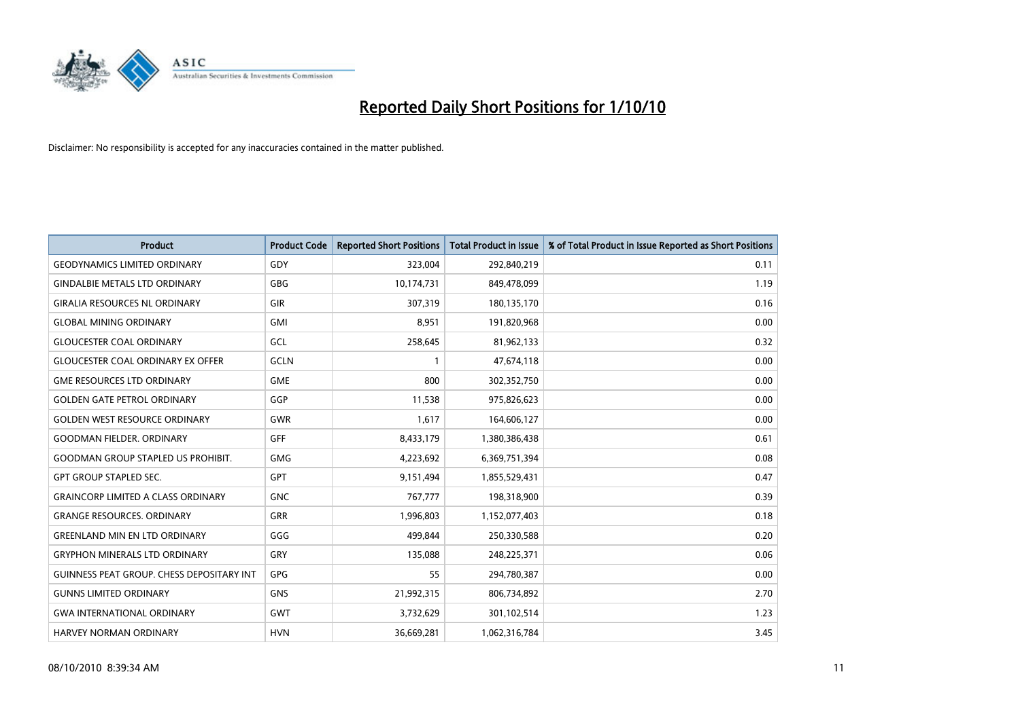

| <b>Product</b>                            | <b>Product Code</b> | <b>Reported Short Positions</b> | Total Product in Issue | % of Total Product in Issue Reported as Short Positions |
|-------------------------------------------|---------------------|---------------------------------|------------------------|---------------------------------------------------------|
| <b>GEODYNAMICS LIMITED ORDINARY</b>       | GDY                 | 323,004                         | 292,840,219            | 0.11                                                    |
| <b>GINDALBIE METALS LTD ORDINARY</b>      | <b>GBG</b>          | 10,174,731                      | 849,478,099            | 1.19                                                    |
| <b>GIRALIA RESOURCES NL ORDINARY</b>      | GIR                 | 307,319                         | 180,135,170            | 0.16                                                    |
| <b>GLOBAL MINING ORDINARY</b>             | <b>GMI</b>          | 8,951                           | 191,820,968            | 0.00                                                    |
| <b>GLOUCESTER COAL ORDINARY</b>           | GCL                 | 258,645                         | 81,962,133             | 0.32                                                    |
| <b>GLOUCESTER COAL ORDINARY EX OFFER</b>  | <b>GCLN</b>         |                                 | 47,674,118             | 0.00                                                    |
| <b>GME RESOURCES LTD ORDINARY</b>         | <b>GME</b>          | 800                             | 302,352,750            | 0.00                                                    |
| <b>GOLDEN GATE PETROL ORDINARY</b>        | GGP                 | 11,538                          | 975,826,623            | 0.00                                                    |
| <b>GOLDEN WEST RESOURCE ORDINARY</b>      | <b>GWR</b>          | 1,617                           | 164,606,127            | 0.00                                                    |
| <b>GOODMAN FIELDER, ORDINARY</b>          | <b>GFF</b>          | 8,433,179                       | 1,380,386,438          | 0.61                                                    |
| <b>GOODMAN GROUP STAPLED US PROHIBIT.</b> | <b>GMG</b>          | 4,223,692                       | 6,369,751,394          | 0.08                                                    |
| <b>GPT GROUP STAPLED SEC.</b>             | <b>GPT</b>          | 9,151,494                       | 1,855,529,431          | 0.47                                                    |
| <b>GRAINCORP LIMITED A CLASS ORDINARY</b> | <b>GNC</b>          | 767,777                         | 198,318,900            | 0.39                                                    |
| <b>GRANGE RESOURCES, ORDINARY</b>         | <b>GRR</b>          | 1,996,803                       | 1,152,077,403          | 0.18                                                    |
| <b>GREENLAND MIN EN LTD ORDINARY</b>      | GGG                 | 499.844                         | 250,330,588            | 0.20                                                    |
| <b>GRYPHON MINERALS LTD ORDINARY</b>      | GRY                 | 135,088                         | 248,225,371            | 0.06                                                    |
| GUINNESS PEAT GROUP. CHESS DEPOSITARY INT | <b>GPG</b>          | 55                              | 294,780,387            | 0.00                                                    |
| <b>GUNNS LIMITED ORDINARY</b>             | <b>GNS</b>          | 21,992,315                      | 806,734,892            | 2.70                                                    |
| <b>GWA INTERNATIONAL ORDINARY</b>         | <b>GWT</b>          | 3,732,629                       | 301,102,514            | 1.23                                                    |
| <b>HARVEY NORMAN ORDINARY</b>             | <b>HVN</b>          | 36,669,281                      | 1,062,316,784          | 3.45                                                    |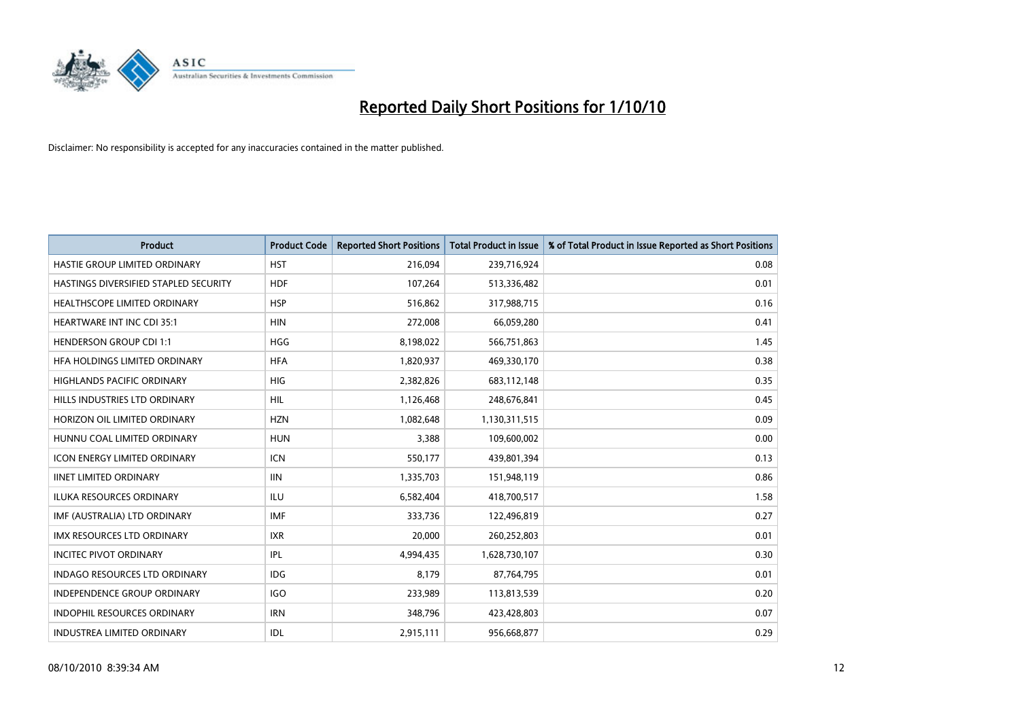

| <b>Product</b>                        | <b>Product Code</b> | <b>Reported Short Positions</b> | Total Product in Issue | % of Total Product in Issue Reported as Short Positions |
|---------------------------------------|---------------------|---------------------------------|------------------------|---------------------------------------------------------|
| HASTIE GROUP LIMITED ORDINARY         | <b>HST</b>          | 216,094                         | 239,716,924            | 0.08                                                    |
| HASTINGS DIVERSIFIED STAPLED SECURITY | <b>HDF</b>          | 107,264                         | 513,336,482            | 0.01                                                    |
| <b>HEALTHSCOPE LIMITED ORDINARY</b>   | <b>HSP</b>          | 516,862                         | 317,988,715            | 0.16                                                    |
| HEARTWARE INT INC CDI 35:1            | <b>HIN</b>          | 272,008                         | 66,059,280             | 0.41                                                    |
| <b>HENDERSON GROUP CDI 1:1</b>        | <b>HGG</b>          | 8,198,022                       | 566,751,863            | 1.45                                                    |
| HFA HOLDINGS LIMITED ORDINARY         | <b>HFA</b>          | 1,820,937                       | 469,330,170            | 0.38                                                    |
| <b>HIGHLANDS PACIFIC ORDINARY</b>     | HIG                 | 2,382,826                       | 683,112,148            | 0.35                                                    |
| HILLS INDUSTRIES LTD ORDINARY         | <b>HIL</b>          | 1,126,468                       | 248,676,841            | 0.45                                                    |
| HORIZON OIL LIMITED ORDINARY          | <b>HZN</b>          | 1,082,648                       | 1,130,311,515          | 0.09                                                    |
| HUNNU COAL LIMITED ORDINARY           | <b>HUN</b>          | 3,388                           | 109,600,002            | 0.00                                                    |
| <b>ICON ENERGY LIMITED ORDINARY</b>   | <b>ICN</b>          | 550,177                         | 439,801,394            | 0.13                                                    |
| <b>IINET LIMITED ORDINARY</b>         | <b>IIN</b>          | 1,335,703                       | 151,948,119            | 0.86                                                    |
| <b>ILUKA RESOURCES ORDINARY</b>       | ILU                 | 6,582,404                       | 418,700,517            | 1.58                                                    |
| IMF (AUSTRALIA) LTD ORDINARY          | <b>IMF</b>          | 333,736                         | 122,496,819            | 0.27                                                    |
| <b>IMX RESOURCES LTD ORDINARY</b>     | <b>IXR</b>          | 20,000                          | 260,252,803            | 0.01                                                    |
| <b>INCITEC PIVOT ORDINARY</b>         | <b>IPL</b>          | 4,994,435                       | 1,628,730,107          | 0.30                                                    |
| <b>INDAGO RESOURCES LTD ORDINARY</b>  | <b>IDG</b>          | 8,179                           | 87,764,795             | 0.01                                                    |
| INDEPENDENCE GROUP ORDINARY           | <b>IGO</b>          | 233,989                         | 113,813,539            | 0.20                                                    |
| <b>INDOPHIL RESOURCES ORDINARY</b>    | <b>IRN</b>          | 348,796                         | 423,428,803            | 0.07                                                    |
| INDUSTREA LIMITED ORDINARY            | IDL                 | 2,915,111                       | 956,668,877            | 0.29                                                    |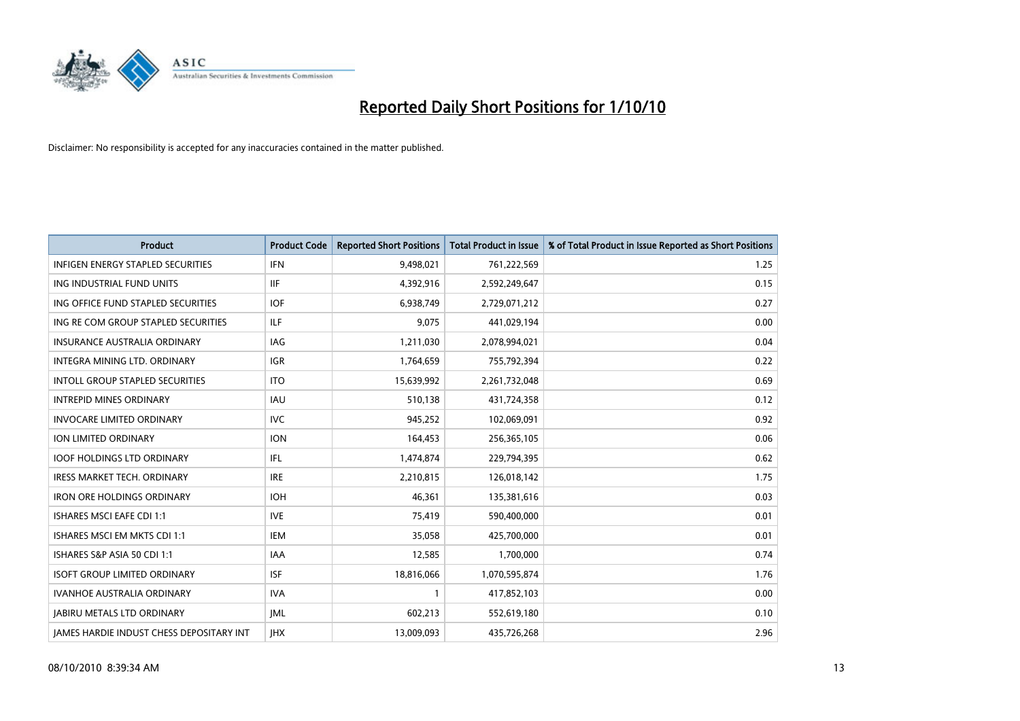

| Product                                         | <b>Product Code</b> | <b>Reported Short Positions</b> | <b>Total Product in Issue</b> | % of Total Product in Issue Reported as Short Positions |
|-------------------------------------------------|---------------------|---------------------------------|-------------------------------|---------------------------------------------------------|
| <b>INFIGEN ENERGY STAPLED SECURITIES</b>        | <b>IFN</b>          | 9,498,021                       | 761,222,569                   | 1.25                                                    |
| ING INDUSTRIAL FUND UNITS                       | <b>IIF</b>          | 4,392,916                       | 2,592,249,647                 | 0.15                                                    |
| ING OFFICE FUND STAPLED SECURITIES              | <b>IOF</b>          | 6,938,749                       | 2,729,071,212                 | 0.27                                                    |
| ING RE COM GROUP STAPLED SECURITIES             | ILF.                | 9,075                           | 441,029,194                   | 0.00                                                    |
| <b>INSURANCE AUSTRALIA ORDINARY</b>             | IAG                 | 1,211,030                       | 2,078,994,021                 | 0.04                                                    |
| INTEGRA MINING LTD, ORDINARY                    | <b>IGR</b>          | 1,764,659                       | 755,792,394                   | 0.22                                                    |
| <b>INTOLL GROUP STAPLED SECURITIES</b>          | <b>ITO</b>          | 15,639,992                      | 2,261,732,048                 | 0.69                                                    |
| <b>INTREPID MINES ORDINARY</b>                  | <b>IAU</b>          | 510,138                         | 431,724,358                   | 0.12                                                    |
| <b>INVOCARE LIMITED ORDINARY</b>                | <b>IVC</b>          | 945,252                         | 102,069,091                   | 0.92                                                    |
| <b>ION LIMITED ORDINARY</b>                     | <b>ION</b>          | 164,453                         | 256,365,105                   | 0.06                                                    |
| <b>IOOF HOLDINGS LTD ORDINARY</b>               | IFL                 | 1,474,874                       | 229,794,395                   | 0.62                                                    |
| IRESS MARKET TECH. ORDINARY                     | <b>IRE</b>          | 2,210,815                       | 126,018,142                   | 1.75                                                    |
| <b>IRON ORE HOLDINGS ORDINARY</b>               | <b>IOH</b>          | 46.361                          | 135,381,616                   | 0.03                                                    |
| <b>ISHARES MSCI EAFE CDI 1:1</b>                | <b>IVE</b>          | 75,419                          | 590,400,000                   | 0.01                                                    |
| <b>ISHARES MSCI EM MKTS CDI 1:1</b>             | <b>IEM</b>          | 35,058                          | 425,700,000                   | 0.01                                                    |
| ISHARES S&P ASIA 50 CDI 1:1                     | <b>IAA</b>          | 12,585                          | 1,700,000                     | 0.74                                                    |
| <b>ISOFT GROUP LIMITED ORDINARY</b>             | <b>ISF</b>          | 18,816,066                      | 1,070,595,874                 | 1.76                                                    |
| IVANHOE AUSTRALIA ORDINARY                      | <b>IVA</b>          |                                 | 417,852,103                   | 0.00                                                    |
| <b>JABIRU METALS LTD ORDINARY</b>               | <b>JML</b>          | 602,213                         | 552,619,180                   | 0.10                                                    |
| <b>JAMES HARDIE INDUST CHESS DEPOSITARY INT</b> | <b>IHX</b>          | 13,009,093                      | 435,726,268                   | 2.96                                                    |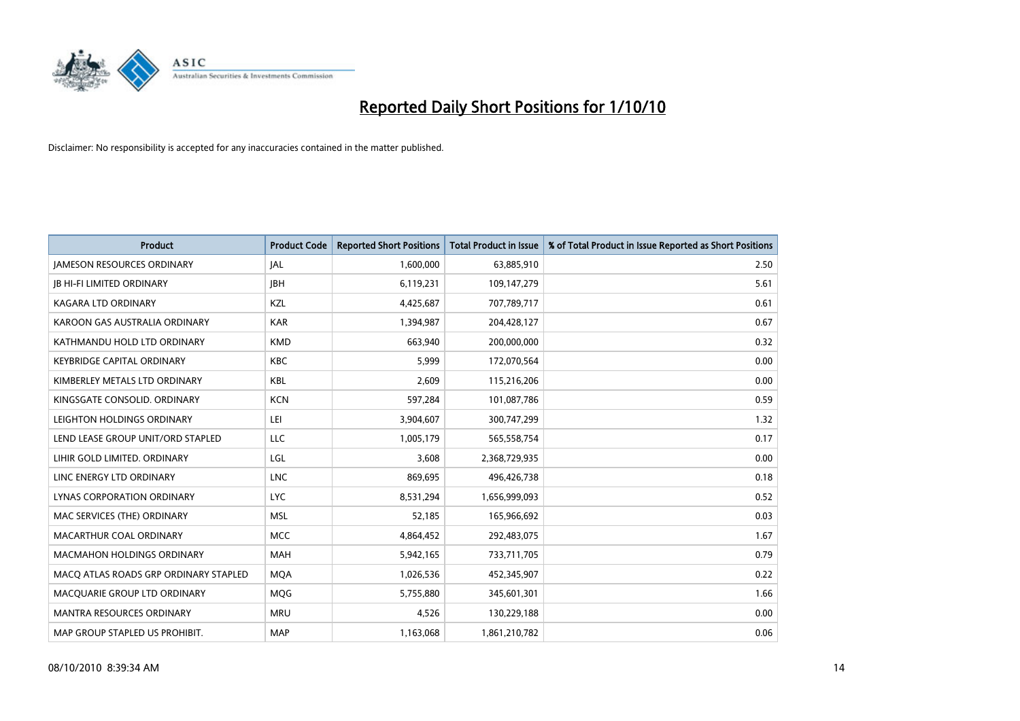

| Product                               | <b>Product Code</b> | <b>Reported Short Positions</b> | Total Product in Issue | % of Total Product in Issue Reported as Short Positions |
|---------------------------------------|---------------------|---------------------------------|------------------------|---------------------------------------------------------|
| <b>JAMESON RESOURCES ORDINARY</b>     | JAL                 | 1,600,000                       | 63,885,910             | 2.50                                                    |
| <b>JB HI-FI LIMITED ORDINARY</b>      | <b>IBH</b>          | 6,119,231                       | 109,147,279            | 5.61                                                    |
| KAGARA LTD ORDINARY                   | KZL                 | 4,425,687                       | 707,789,717            | 0.61                                                    |
| KAROON GAS AUSTRALIA ORDINARY         | <b>KAR</b>          | 1,394,987                       | 204,428,127            | 0.67                                                    |
| KATHMANDU HOLD LTD ORDINARY           | <b>KMD</b>          | 663.940                         | 200,000,000            | 0.32                                                    |
| <b>KEYBRIDGE CAPITAL ORDINARY</b>     | <b>KBC</b>          | 5,999                           | 172,070,564            | 0.00                                                    |
| KIMBERLEY METALS LTD ORDINARY         | <b>KBL</b>          | 2.609                           | 115,216,206            | 0.00                                                    |
| KINGSGATE CONSOLID. ORDINARY          | <b>KCN</b>          | 597,284                         | 101,087,786            | 0.59                                                    |
| LEIGHTON HOLDINGS ORDINARY            | LEI                 | 3,904,607                       | 300,747,299            | 1.32                                                    |
| LEND LEASE GROUP UNIT/ORD STAPLED     | <b>LLC</b>          | 1,005,179                       | 565,558,754            | 0.17                                                    |
| LIHIR GOLD LIMITED. ORDINARY          | LGL                 | 3,608                           | 2,368,729,935          | 0.00                                                    |
| LINC ENERGY LTD ORDINARY              | <b>LNC</b>          | 869,695                         | 496,426,738            | 0.18                                                    |
| LYNAS CORPORATION ORDINARY            | <b>LYC</b>          | 8,531,294                       | 1,656,999,093          | 0.52                                                    |
| MAC SERVICES (THE) ORDINARY           | <b>MSL</b>          | 52,185                          | 165,966,692            | 0.03                                                    |
| MACARTHUR COAL ORDINARY               | <b>MCC</b>          | 4,864,452                       | 292,483,075            | 1.67                                                    |
| <b>MACMAHON HOLDINGS ORDINARY</b>     | <b>MAH</b>          | 5,942,165                       | 733,711,705            | 0.79                                                    |
| MACQ ATLAS ROADS GRP ORDINARY STAPLED | <b>MQA</b>          | 1,026,536                       | 452,345,907            | 0.22                                                    |
| MACQUARIE GROUP LTD ORDINARY          | <b>MOG</b>          | 5,755,880                       | 345,601,301            | 1.66                                                    |
| <b>MANTRA RESOURCES ORDINARY</b>      | <b>MRU</b>          | 4,526                           | 130,229,188            | 0.00                                                    |
| MAP GROUP STAPLED US PROHIBIT.        | <b>MAP</b>          | 1,163,068                       | 1,861,210,782          | 0.06                                                    |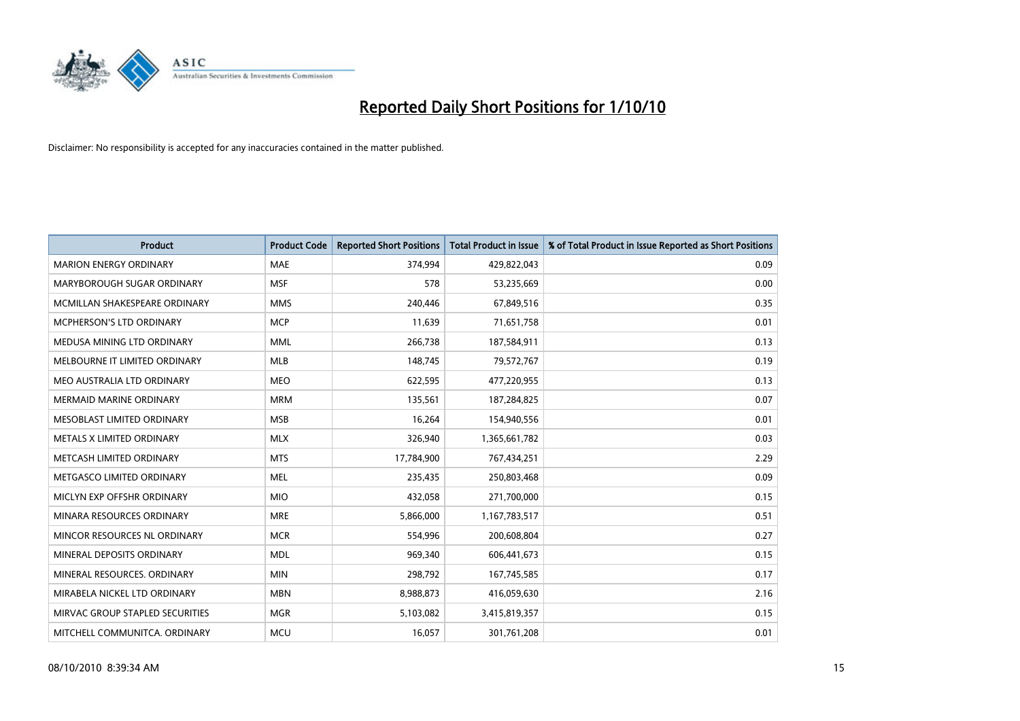

| <b>Product</b>                  | <b>Product Code</b> | <b>Reported Short Positions</b> | Total Product in Issue | % of Total Product in Issue Reported as Short Positions |
|---------------------------------|---------------------|---------------------------------|------------------------|---------------------------------------------------------|
| <b>MARION ENERGY ORDINARY</b>   | <b>MAE</b>          | 374,994                         | 429,822,043            | 0.09                                                    |
| MARYBOROUGH SUGAR ORDINARY      | <b>MSF</b>          | 578                             | 53,235,669             | 0.00                                                    |
| MCMILLAN SHAKESPEARE ORDINARY   | <b>MMS</b>          | 240,446                         | 67,849,516             | 0.35                                                    |
| MCPHERSON'S LTD ORDINARY        | <b>MCP</b>          | 11,639                          | 71,651,758             | 0.01                                                    |
| MEDUSA MINING LTD ORDINARY      | <b>MML</b>          | 266,738                         | 187,584,911            | 0.13                                                    |
| MELBOURNE IT LIMITED ORDINARY   | <b>MLB</b>          | 148,745                         | 79,572,767             | 0.19                                                    |
| MEO AUSTRALIA LTD ORDINARY      | <b>MEO</b>          | 622,595                         | 477,220,955            | 0.13                                                    |
| MERMAID MARINE ORDINARY         | <b>MRM</b>          | 135,561                         | 187,284,825            | 0.07                                                    |
| MESOBLAST LIMITED ORDINARY      | <b>MSB</b>          | 16,264                          | 154,940,556            | 0.01                                                    |
| METALS X LIMITED ORDINARY       | <b>MLX</b>          | 326,940                         | 1,365,661,782          | 0.03                                                    |
| METCASH LIMITED ORDINARY        | <b>MTS</b>          | 17,784,900                      | 767,434,251            | 2.29                                                    |
| METGASCO LIMITED ORDINARY       | <b>MEL</b>          | 235,435                         | 250,803,468            | 0.09                                                    |
| MICLYN EXP OFFSHR ORDINARY      | <b>MIO</b>          | 432,058                         | 271,700,000            | 0.15                                                    |
| MINARA RESOURCES ORDINARY       | <b>MRE</b>          | 5,866,000                       | 1,167,783,517          | 0.51                                                    |
| MINCOR RESOURCES NL ORDINARY    | <b>MCR</b>          | 554,996                         | 200,608,804            | 0.27                                                    |
| MINERAL DEPOSITS ORDINARY       | <b>MDL</b>          | 969,340                         | 606,441,673            | 0.15                                                    |
| MINERAL RESOURCES, ORDINARY     | <b>MIN</b>          | 298,792                         | 167,745,585            | 0.17                                                    |
| MIRABELA NICKEL LTD ORDINARY    | <b>MBN</b>          | 8,988,873                       | 416,059,630            | 2.16                                                    |
| MIRVAC GROUP STAPLED SECURITIES | <b>MGR</b>          | 5,103,082                       | 3,415,819,357          | 0.15                                                    |
| MITCHELL COMMUNITCA. ORDINARY   | <b>MCU</b>          | 16,057                          | 301,761,208            | 0.01                                                    |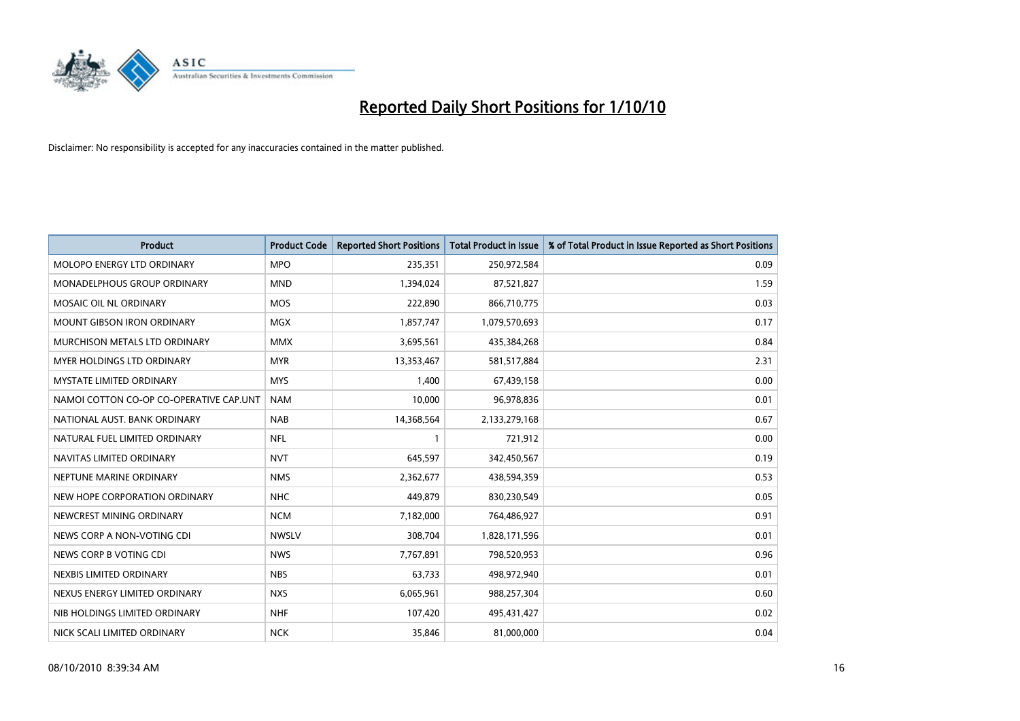

| Product                                 | <b>Product Code</b> | <b>Reported Short Positions</b> | <b>Total Product in Issue</b> | % of Total Product in Issue Reported as Short Positions |
|-----------------------------------------|---------------------|---------------------------------|-------------------------------|---------------------------------------------------------|
| MOLOPO ENERGY LTD ORDINARY              | <b>MPO</b>          | 235,351                         | 250,972,584                   | 0.09                                                    |
| MONADELPHOUS GROUP ORDINARY             | <b>MND</b>          | 1,394,024                       | 87,521,827                    | 1.59                                                    |
| MOSAIC OIL NL ORDINARY                  | <b>MOS</b>          | 222,890                         | 866,710,775                   | 0.03                                                    |
| <b>MOUNT GIBSON IRON ORDINARY</b>       | <b>MGX</b>          | 1,857,747                       | 1,079,570,693                 | 0.17                                                    |
| MURCHISON METALS LTD ORDINARY           | <b>MMX</b>          | 3,695,561                       | 435,384,268                   | 0.84                                                    |
| MYER HOLDINGS LTD ORDINARY              | <b>MYR</b>          | 13,353,467                      | 581,517,884                   | 2.31                                                    |
| <b>MYSTATE LIMITED ORDINARY</b>         | <b>MYS</b>          | 1,400                           | 67,439,158                    | 0.00                                                    |
| NAMOI COTTON CO-OP CO-OPERATIVE CAP.UNT | <b>NAM</b>          | 10,000                          | 96,978,836                    | 0.01                                                    |
| NATIONAL AUST. BANK ORDINARY            | <b>NAB</b>          | 14,368,564                      | 2,133,279,168                 | 0.67                                                    |
| NATURAL FUEL LIMITED ORDINARY           | <b>NFL</b>          |                                 | 721,912                       | 0.00                                                    |
| NAVITAS LIMITED ORDINARY                | <b>NVT</b>          | 645,597                         | 342,450,567                   | 0.19                                                    |
| NEPTUNE MARINE ORDINARY                 | <b>NMS</b>          | 2,362,677                       | 438,594,359                   | 0.53                                                    |
| NEW HOPE CORPORATION ORDINARY           | <b>NHC</b>          | 449.879                         | 830,230,549                   | 0.05                                                    |
| NEWCREST MINING ORDINARY                | <b>NCM</b>          | 7,182,000                       | 764,486,927                   | 0.91                                                    |
| NEWS CORP A NON-VOTING CDI              | <b>NWSLV</b>        | 308,704                         | 1,828,171,596                 | 0.01                                                    |
| NEWS CORP B VOTING CDI                  | <b>NWS</b>          | 7,767,891                       | 798,520,953                   | 0.96                                                    |
| NEXBIS LIMITED ORDINARY                 | <b>NBS</b>          | 63,733                          | 498,972,940                   | 0.01                                                    |
| NEXUS ENERGY LIMITED ORDINARY           | <b>NXS</b>          | 6,065,961                       | 988,257,304                   | 0.60                                                    |
| NIB HOLDINGS LIMITED ORDINARY           | <b>NHF</b>          | 107,420                         | 495,431,427                   | 0.02                                                    |
| NICK SCALI LIMITED ORDINARY             | <b>NCK</b>          | 35,846                          | 81,000,000                    | 0.04                                                    |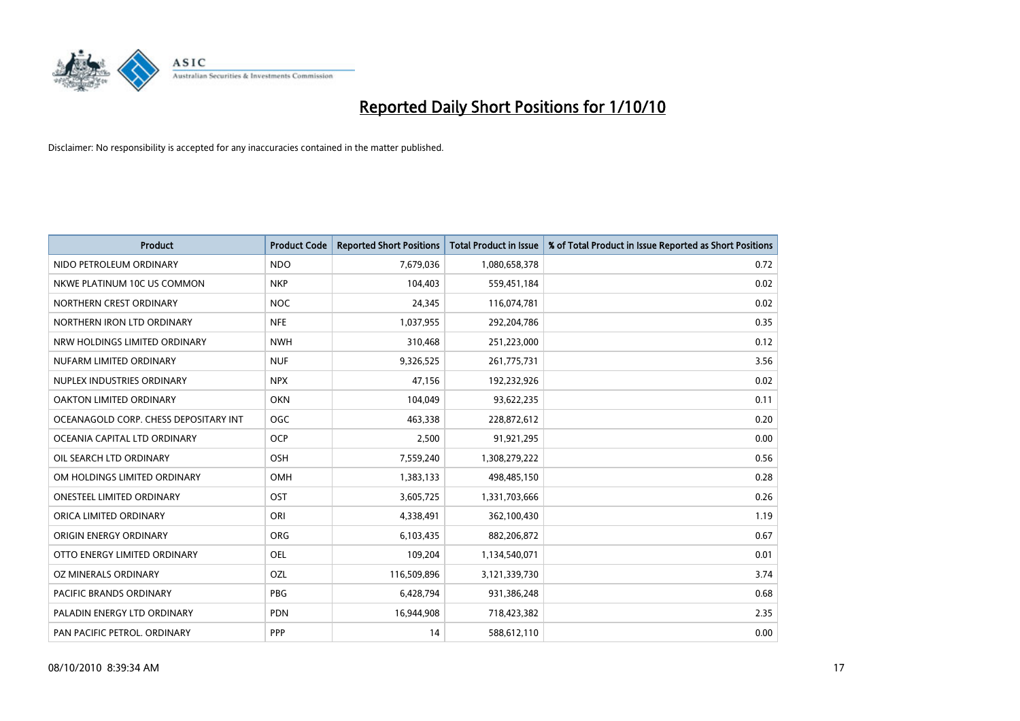

| <b>Product</b>                        | <b>Product Code</b> | <b>Reported Short Positions</b> | Total Product in Issue | % of Total Product in Issue Reported as Short Positions |
|---------------------------------------|---------------------|---------------------------------|------------------------|---------------------------------------------------------|
| NIDO PETROLEUM ORDINARY               | <b>NDO</b>          | 7,679,036                       | 1,080,658,378          | 0.72                                                    |
| NKWE PLATINUM 10C US COMMON           | <b>NKP</b>          | 104,403                         | 559,451,184            | 0.02                                                    |
| NORTHERN CREST ORDINARY               | NOC                 | 24,345                          | 116,074,781            | 0.02                                                    |
| NORTHERN IRON LTD ORDINARY            | <b>NFE</b>          | 1,037,955                       | 292,204,786            | 0.35                                                    |
| NRW HOLDINGS LIMITED ORDINARY         | <b>NWH</b>          | 310,468                         | 251,223,000            | 0.12                                                    |
| NUFARM LIMITED ORDINARY               | <b>NUF</b>          | 9,326,525                       | 261,775,731            | 3.56                                                    |
| NUPLEX INDUSTRIES ORDINARY            | <b>NPX</b>          | 47,156                          | 192,232,926            | 0.02                                                    |
| OAKTON LIMITED ORDINARY               | <b>OKN</b>          | 104,049                         | 93,622,235             | 0.11                                                    |
| OCEANAGOLD CORP. CHESS DEPOSITARY INT | OGC                 | 463,338                         | 228,872,612            | 0.20                                                    |
| OCEANIA CAPITAL LTD ORDINARY          | <b>OCP</b>          | 2,500                           | 91,921,295             | 0.00                                                    |
| OIL SEARCH LTD ORDINARY               | <b>OSH</b>          | 7,559,240                       | 1,308,279,222          | 0.56                                                    |
| OM HOLDINGS LIMITED ORDINARY          | OMH                 | 1,383,133                       | 498,485,150            | 0.28                                                    |
| <b>ONESTEEL LIMITED ORDINARY</b>      | OST                 | 3,605,725                       | 1,331,703,666          | 0.26                                                    |
| ORICA LIMITED ORDINARY                | ORI                 | 4,338,491                       | 362,100,430            | 1.19                                                    |
| ORIGIN ENERGY ORDINARY                | <b>ORG</b>          | 6,103,435                       | 882,206,872            | 0.67                                                    |
| OTTO ENERGY LIMITED ORDINARY          | OEL                 | 109,204                         | 1,134,540,071          | 0.01                                                    |
| OZ MINERALS ORDINARY                  | OZL                 | 116,509,896                     | 3,121,339,730          | 3.74                                                    |
| PACIFIC BRANDS ORDINARY               | <b>PBG</b>          | 6,428,794                       | 931,386,248            | 0.68                                                    |
| PALADIN ENERGY LTD ORDINARY           | <b>PDN</b>          | 16,944,908                      | 718,423,382            | 2.35                                                    |
| PAN PACIFIC PETROL. ORDINARY          | <b>PPP</b>          | 14                              | 588,612,110            | 0.00                                                    |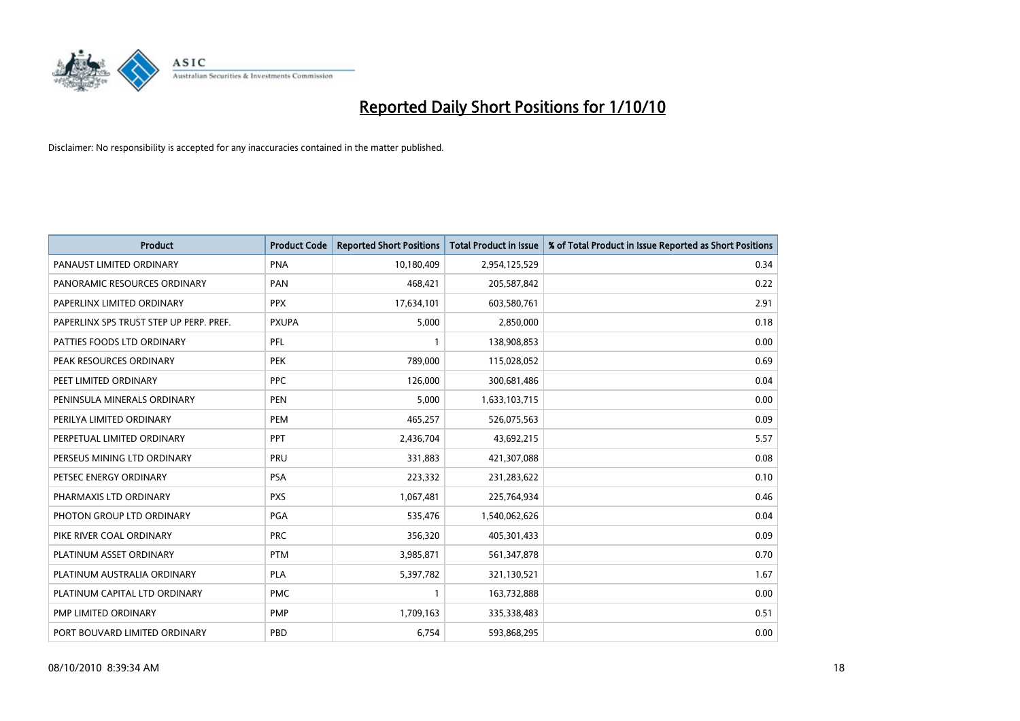

| Product                                 | <b>Product Code</b> | <b>Reported Short Positions</b> | <b>Total Product in Issue</b> | % of Total Product in Issue Reported as Short Positions |
|-----------------------------------------|---------------------|---------------------------------|-------------------------------|---------------------------------------------------------|
| PANAUST LIMITED ORDINARY                | <b>PNA</b>          | 10,180,409                      | 2,954,125,529                 | 0.34                                                    |
| PANORAMIC RESOURCES ORDINARY            | PAN                 | 468,421                         | 205,587,842                   | 0.22                                                    |
| PAPERLINX LIMITED ORDINARY              | <b>PPX</b>          | 17,634,101                      | 603,580,761                   | 2.91                                                    |
| PAPERLINX SPS TRUST STEP UP PERP. PREF. | <b>PXUPA</b>        | 5,000                           | 2,850,000                     | 0.18                                                    |
| PATTIES FOODS LTD ORDINARY              | PFL                 |                                 | 138,908,853                   | 0.00                                                    |
| PEAK RESOURCES ORDINARY                 | <b>PEK</b>          | 789,000                         | 115,028,052                   | 0.69                                                    |
| PEET LIMITED ORDINARY                   | <b>PPC</b>          | 126,000                         | 300,681,486                   | 0.04                                                    |
| PENINSULA MINERALS ORDINARY             | PEN                 | 5,000                           | 1,633,103,715                 | 0.00                                                    |
| PERILYA LIMITED ORDINARY                | PEM                 | 465,257                         | 526,075,563                   | 0.09                                                    |
| PERPETUAL LIMITED ORDINARY              | PPT                 | 2,436,704                       | 43,692,215                    | 5.57                                                    |
| PERSEUS MINING LTD ORDINARY             | PRU                 | 331,883                         | 421,307,088                   | 0.08                                                    |
| PETSEC ENERGY ORDINARY                  | <b>PSA</b>          | 223,332                         | 231,283,622                   | 0.10                                                    |
| PHARMAXIS LTD ORDINARY                  | <b>PXS</b>          | 1,067,481                       | 225,764,934                   | 0.46                                                    |
| PHOTON GROUP LTD ORDINARY               | <b>PGA</b>          | 535,476                         | 1,540,062,626                 | 0.04                                                    |
| PIKE RIVER COAL ORDINARY                | <b>PRC</b>          | 356,320                         | 405,301,433                   | 0.09                                                    |
| PLATINUM ASSET ORDINARY                 | <b>PTM</b>          | 3,985,871                       | 561,347,878                   | 0.70                                                    |
| PLATINUM AUSTRALIA ORDINARY             | <b>PLA</b>          | 5,397,782                       | 321,130,521                   | 1.67                                                    |
| PLATINUM CAPITAL LTD ORDINARY           | <b>PMC</b>          |                                 | 163,732,888                   | 0.00                                                    |
| PMP LIMITED ORDINARY                    | <b>PMP</b>          | 1,709,163                       | 335,338,483                   | 0.51                                                    |
| PORT BOUVARD LIMITED ORDINARY           | PBD                 | 6,754                           | 593,868,295                   | 0.00                                                    |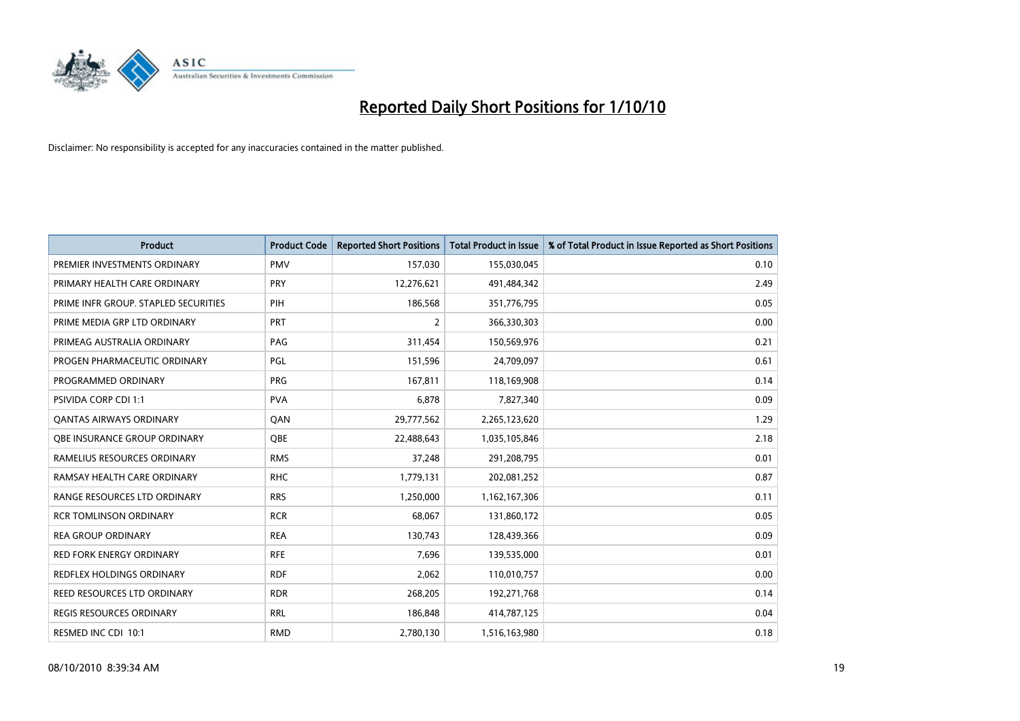

| <b>Product</b>                       | <b>Product Code</b> | <b>Reported Short Positions</b> | Total Product in Issue | % of Total Product in Issue Reported as Short Positions |
|--------------------------------------|---------------------|---------------------------------|------------------------|---------------------------------------------------------|
| PREMIER INVESTMENTS ORDINARY         | <b>PMV</b>          | 157,030                         | 155,030,045            | 0.10                                                    |
| PRIMARY HEALTH CARE ORDINARY         | PRY                 | 12,276,621                      | 491,484,342            | 2.49                                                    |
| PRIME INFR GROUP. STAPLED SECURITIES | PIH                 | 186,568                         | 351,776,795            | 0.05                                                    |
| PRIME MEDIA GRP LTD ORDINARY         | PRT                 | $\overline{2}$                  | 366,330,303            | 0.00                                                    |
| PRIMEAG AUSTRALIA ORDINARY           | PAG                 | 311,454                         | 150,569,976            | 0.21                                                    |
| PROGEN PHARMACEUTIC ORDINARY         | PGL                 | 151,596                         | 24,709,097             | 0.61                                                    |
| PROGRAMMED ORDINARY                  | <b>PRG</b>          | 167,811                         | 118,169,908            | 0.14                                                    |
| <b>PSIVIDA CORP CDI 1:1</b>          | <b>PVA</b>          | 6,878                           | 7,827,340              | 0.09                                                    |
| <b>QANTAS AIRWAYS ORDINARY</b>       | QAN                 | 29,777,562                      | 2,265,123,620          | 1.29                                                    |
| OBE INSURANCE GROUP ORDINARY         | <b>OBE</b>          | 22,488,643                      | 1,035,105,846          | 2.18                                                    |
| RAMELIUS RESOURCES ORDINARY          | <b>RMS</b>          | 37,248                          | 291,208,795            | 0.01                                                    |
| RAMSAY HEALTH CARE ORDINARY          | <b>RHC</b>          | 1,779,131                       | 202,081,252            | 0.87                                                    |
| RANGE RESOURCES LTD ORDINARY         | <b>RRS</b>          | 1.250.000                       | 1,162,167,306          | 0.11                                                    |
| <b>RCR TOMLINSON ORDINARY</b>        | <b>RCR</b>          | 68.067                          | 131,860,172            | 0.05                                                    |
| <b>REA GROUP ORDINARY</b>            | <b>REA</b>          | 130,743                         | 128,439,366            | 0.09                                                    |
| <b>RED FORK ENERGY ORDINARY</b>      | <b>RFE</b>          | 7,696                           | 139,535,000            | 0.01                                                    |
| <b>REDFLEX HOLDINGS ORDINARY</b>     | <b>RDF</b>          | 2,062                           | 110,010,757            | 0.00                                                    |
| REED RESOURCES LTD ORDINARY          | <b>RDR</b>          | 268,205                         | 192,271,768            | 0.14                                                    |
| <b>REGIS RESOURCES ORDINARY</b>      | <b>RRL</b>          | 186,848                         | 414,787,125            | 0.04                                                    |
| RESMED INC CDI 10:1                  | <b>RMD</b>          | 2,780,130                       | 1,516,163,980          | 0.18                                                    |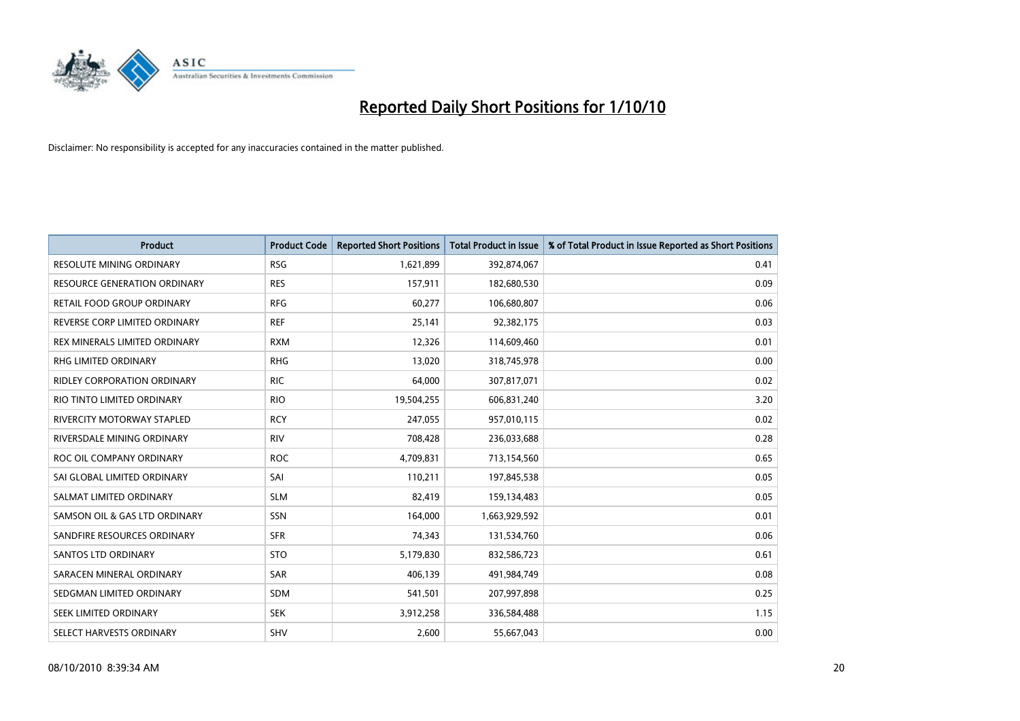

| Product                             | <b>Product Code</b> | <b>Reported Short Positions</b> | <b>Total Product in Issue</b> | % of Total Product in Issue Reported as Short Positions |
|-------------------------------------|---------------------|---------------------------------|-------------------------------|---------------------------------------------------------|
| <b>RESOLUTE MINING ORDINARY</b>     | <b>RSG</b>          | 1,621,899                       | 392,874,067                   | 0.41                                                    |
| <b>RESOURCE GENERATION ORDINARY</b> | <b>RES</b>          | 157,911                         | 182,680,530                   | 0.09                                                    |
| RETAIL FOOD GROUP ORDINARY          | <b>RFG</b>          | 60,277                          | 106,680,807                   | 0.06                                                    |
| REVERSE CORP LIMITED ORDINARY       | <b>REF</b>          | 25,141                          | 92,382,175                    | 0.03                                                    |
| REX MINERALS LIMITED ORDINARY       | <b>RXM</b>          | 12,326                          | 114,609,460                   | 0.01                                                    |
| <b>RHG LIMITED ORDINARY</b>         | <b>RHG</b>          | 13,020                          | 318,745,978                   | 0.00                                                    |
| RIDLEY CORPORATION ORDINARY         | <b>RIC</b>          | 64,000                          | 307,817,071                   | 0.02                                                    |
| RIO TINTO LIMITED ORDINARY          | <b>RIO</b>          | 19,504,255                      | 606,831,240                   | 3.20                                                    |
| <b>RIVERCITY MOTORWAY STAPLED</b>   | <b>RCY</b>          | 247,055                         | 957,010,115                   | 0.02                                                    |
| RIVERSDALE MINING ORDINARY          | <b>RIV</b>          | 708,428                         | 236,033,688                   | 0.28                                                    |
| ROC OIL COMPANY ORDINARY            | <b>ROC</b>          | 4,709,831                       | 713,154,560                   | 0.65                                                    |
| SAI GLOBAL LIMITED ORDINARY         | SAI                 | 110,211                         | 197,845,538                   | 0.05                                                    |
| SALMAT LIMITED ORDINARY             | <b>SLM</b>          | 82,419                          | 159,134,483                   | 0.05                                                    |
| SAMSON OIL & GAS LTD ORDINARY       | SSN                 | 164,000                         | 1,663,929,592                 | 0.01                                                    |
| SANDFIRE RESOURCES ORDINARY         | <b>SFR</b>          | 74,343                          | 131,534,760                   | 0.06                                                    |
| <b>SANTOS LTD ORDINARY</b>          | <b>STO</b>          | 5,179,830                       | 832,586,723                   | 0.61                                                    |
| SARACEN MINERAL ORDINARY            | <b>SAR</b>          | 406,139                         | 491,984,749                   | 0.08                                                    |
| SEDGMAN LIMITED ORDINARY            | <b>SDM</b>          | 541,501                         | 207,997,898                   | 0.25                                                    |
| SEEK LIMITED ORDINARY               | <b>SEK</b>          | 3,912,258                       | 336,584,488                   | 1.15                                                    |
| SELECT HARVESTS ORDINARY            | <b>SHV</b>          | 2,600                           | 55,667,043                    | 0.00                                                    |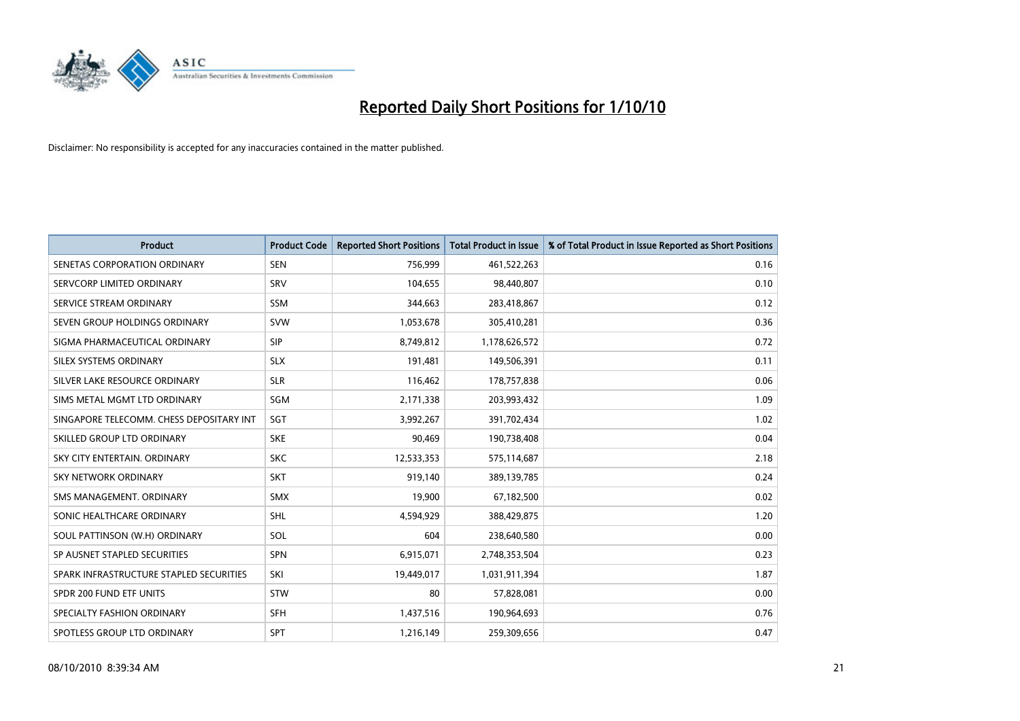

| <b>Product</b>                           | <b>Product Code</b> | <b>Reported Short Positions</b> | <b>Total Product in Issue</b> | % of Total Product in Issue Reported as Short Positions |
|------------------------------------------|---------------------|---------------------------------|-------------------------------|---------------------------------------------------------|
| SENETAS CORPORATION ORDINARY             | <b>SEN</b>          | 756,999                         | 461,522,263                   | 0.16                                                    |
| SERVCORP LIMITED ORDINARY                | SRV                 | 104,655                         | 98,440,807                    | 0.10                                                    |
| SERVICE STREAM ORDINARY                  | <b>SSM</b>          | 344,663                         | 283,418,867                   | 0.12                                                    |
| SEVEN GROUP HOLDINGS ORDINARY            | <b>SVW</b>          | 1,053,678                       | 305,410,281                   | 0.36                                                    |
| SIGMA PHARMACEUTICAL ORDINARY            | <b>SIP</b>          | 8,749,812                       | 1,178,626,572                 | 0.72                                                    |
| SILEX SYSTEMS ORDINARY                   | <b>SLX</b>          | 191,481                         | 149,506,391                   | 0.11                                                    |
| SILVER LAKE RESOURCE ORDINARY            | <b>SLR</b>          | 116,462                         | 178,757,838                   | 0.06                                                    |
| SIMS METAL MGMT LTD ORDINARY             | <b>SGM</b>          | 2,171,338                       | 203,993,432                   | 1.09                                                    |
| SINGAPORE TELECOMM. CHESS DEPOSITARY INT | SGT                 | 3,992,267                       | 391,702,434                   | 1.02                                                    |
| SKILLED GROUP LTD ORDINARY               | <b>SKE</b>          | 90,469                          | 190,738,408                   | 0.04                                                    |
| SKY CITY ENTERTAIN, ORDINARY             | <b>SKC</b>          | 12,533,353                      | 575,114,687                   | 2.18                                                    |
| <b>SKY NETWORK ORDINARY</b>              | <b>SKT</b>          | 919,140                         | 389,139,785                   | 0.24                                                    |
| SMS MANAGEMENT, ORDINARY                 | <b>SMX</b>          | 19,900                          | 67,182,500                    | 0.02                                                    |
| SONIC HEALTHCARE ORDINARY                | <b>SHL</b>          | 4,594,929                       | 388,429,875                   | 1.20                                                    |
| SOUL PATTINSON (W.H) ORDINARY            | SOL                 | 604                             | 238,640,580                   | 0.00                                                    |
| SP AUSNET STAPLED SECURITIES             | <b>SPN</b>          | 6,915,071                       | 2,748,353,504                 | 0.23                                                    |
| SPARK INFRASTRUCTURE STAPLED SECURITIES  | SKI                 | 19,449,017                      | 1,031,911,394                 | 1.87                                                    |
| SPDR 200 FUND ETF UNITS                  | <b>STW</b>          | 80                              | 57,828,081                    | 0.00                                                    |
| SPECIALTY FASHION ORDINARY               | <b>SFH</b>          | 1,437,516                       | 190,964,693                   | 0.76                                                    |
| SPOTLESS GROUP LTD ORDINARY              | <b>SPT</b>          | 1,216,149                       | 259,309,656                   | 0.47                                                    |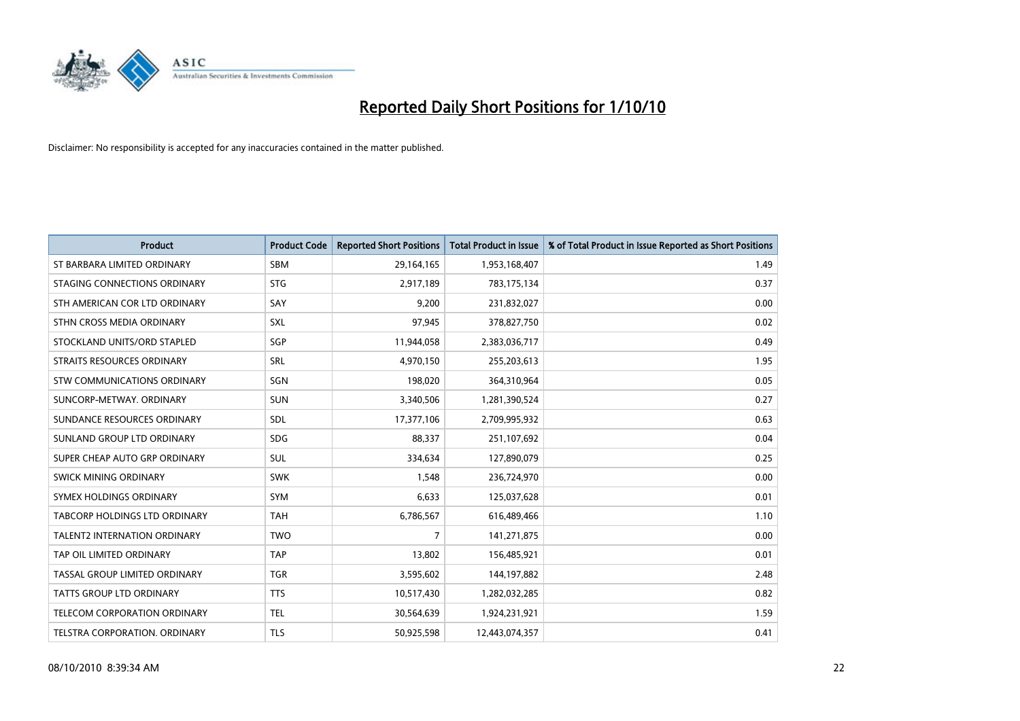

| <b>Product</b>                       | <b>Product Code</b> | <b>Reported Short Positions</b> | <b>Total Product in Issue</b> | % of Total Product in Issue Reported as Short Positions |
|--------------------------------------|---------------------|---------------------------------|-------------------------------|---------------------------------------------------------|
| ST BARBARA LIMITED ORDINARY          | <b>SBM</b>          | 29,164,165                      | 1,953,168,407                 | 1.49                                                    |
| STAGING CONNECTIONS ORDINARY         | <b>STG</b>          | 2,917,189                       | 783,175,134                   | 0.37                                                    |
| STH AMERICAN COR LTD ORDINARY        | SAY                 | 9,200                           | 231,832,027                   | 0.00                                                    |
| STHN CROSS MEDIA ORDINARY            | SXL                 | 97,945                          | 378,827,750                   | 0.02                                                    |
| STOCKLAND UNITS/ORD STAPLED          | SGP                 | 11,944,058                      | 2,383,036,717                 | 0.49                                                    |
| STRAITS RESOURCES ORDINARY           | SRL                 | 4,970,150                       | 255,203,613                   | 1.95                                                    |
| STW COMMUNICATIONS ORDINARY          | SGN                 | 198,020                         | 364,310,964                   | 0.05                                                    |
| SUNCORP-METWAY, ORDINARY             | <b>SUN</b>          | 3,340,506                       | 1,281,390,524                 | 0.27                                                    |
| SUNDANCE RESOURCES ORDINARY          | SDL                 | 17,377,106                      | 2,709,995,932                 | 0.63                                                    |
| SUNLAND GROUP LTD ORDINARY           | SDG.                | 88.337                          | 251,107,692                   | 0.04                                                    |
| SUPER CHEAP AUTO GRP ORDINARY        | SUL                 | 334,634                         | 127,890,079                   | 0.25                                                    |
| SWICK MINING ORDINARY                | <b>SWK</b>          | 1,548                           | 236,724,970                   | 0.00                                                    |
| SYMEX HOLDINGS ORDINARY              | <b>SYM</b>          | 6,633                           | 125,037,628                   | 0.01                                                    |
| <b>TABCORP HOLDINGS LTD ORDINARY</b> | <b>TAH</b>          | 6,786,567                       | 616,489,466                   | 1.10                                                    |
| <b>TALENT2 INTERNATION ORDINARY</b>  | <b>TWO</b>          | $\overline{7}$                  | 141,271,875                   | 0.00                                                    |
| TAP OIL LIMITED ORDINARY             | <b>TAP</b>          | 13,802                          | 156,485,921                   | 0.01                                                    |
| TASSAL GROUP LIMITED ORDINARY        | <b>TGR</b>          | 3,595,602                       | 144,197,882                   | 2.48                                                    |
| TATTS GROUP LTD ORDINARY             | <b>TTS</b>          | 10,517,430                      | 1,282,032,285                 | 0.82                                                    |
| TELECOM CORPORATION ORDINARY         | <b>TEL</b>          | 30,564,639                      | 1,924,231,921                 | 1.59                                                    |
| TELSTRA CORPORATION. ORDINARY        | <b>TLS</b>          | 50,925,598                      | 12,443,074,357                | 0.41                                                    |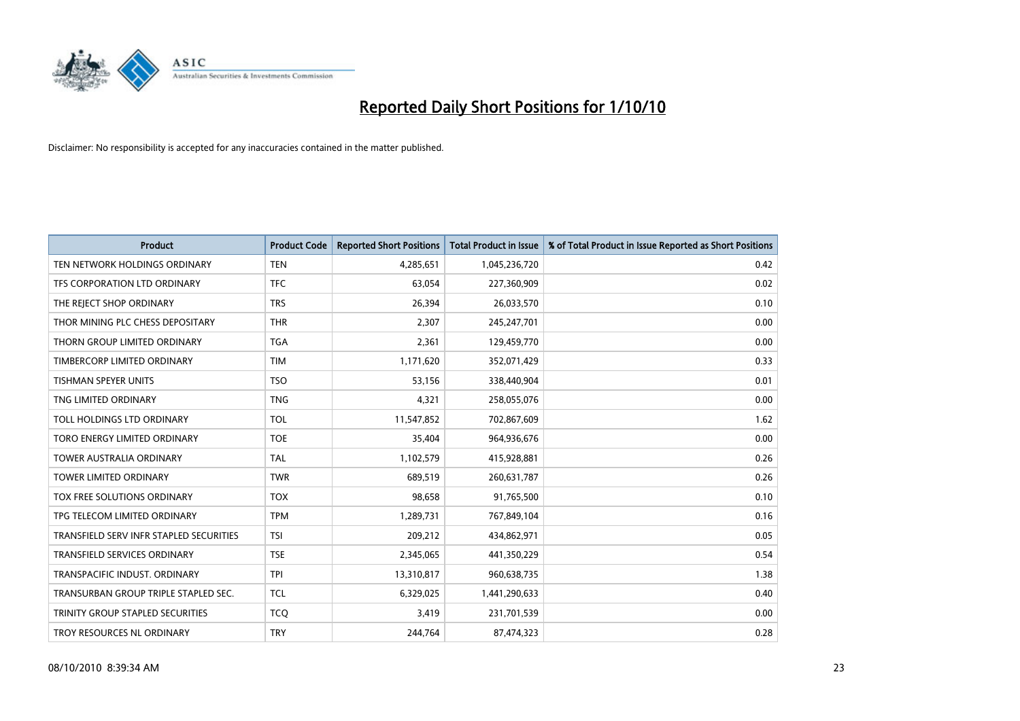

| <b>Product</b>                          | <b>Product Code</b> | <b>Reported Short Positions</b> | <b>Total Product in Issue</b> | % of Total Product in Issue Reported as Short Positions |
|-----------------------------------------|---------------------|---------------------------------|-------------------------------|---------------------------------------------------------|
| TEN NETWORK HOLDINGS ORDINARY           | <b>TEN</b>          | 4,285,651                       | 1,045,236,720                 | 0.42                                                    |
| TFS CORPORATION LTD ORDINARY            | <b>TFC</b>          | 63,054                          | 227,360,909                   | 0.02                                                    |
| THE REJECT SHOP ORDINARY                | <b>TRS</b>          | 26,394                          | 26,033,570                    | 0.10                                                    |
| THOR MINING PLC CHESS DEPOSITARY        | <b>THR</b>          | 2,307                           | 245,247,701                   | 0.00                                                    |
| THORN GROUP LIMITED ORDINARY            | <b>TGA</b>          | 2,361                           | 129,459,770                   | 0.00                                                    |
| TIMBERCORP LIMITED ORDINARY             | <b>TIM</b>          | 1,171,620                       | 352,071,429                   | 0.33                                                    |
| <b>TISHMAN SPEYER UNITS</b>             | <b>TSO</b>          | 53,156                          | 338,440,904                   | 0.01                                                    |
| TNG LIMITED ORDINARY                    | <b>TNG</b>          | 4,321                           | 258,055,076                   | 0.00                                                    |
| TOLL HOLDINGS LTD ORDINARY              | <b>TOL</b>          | 11,547,852                      | 702,867,609                   | 1.62                                                    |
| TORO ENERGY LIMITED ORDINARY            | <b>TOE</b>          | 35,404                          | 964,936,676                   | 0.00                                                    |
| <b>TOWER AUSTRALIA ORDINARY</b>         | <b>TAL</b>          | 1,102,579                       | 415,928,881                   | 0.26                                                    |
| <b>TOWER LIMITED ORDINARY</b>           | <b>TWR</b>          | 689,519                         | 260,631,787                   | 0.26                                                    |
| TOX FREE SOLUTIONS ORDINARY             | <b>TOX</b>          | 98.658                          | 91,765,500                    | 0.10                                                    |
| TPG TELECOM LIMITED ORDINARY            | <b>TPM</b>          | 1,289,731                       | 767,849,104                   | 0.16                                                    |
| TRANSFIELD SERV INFR STAPLED SECURITIES | <b>TSI</b>          | 209,212                         | 434,862,971                   | 0.05                                                    |
| <b>TRANSFIELD SERVICES ORDINARY</b>     | <b>TSE</b>          | 2,345,065                       | 441,350,229                   | 0.54                                                    |
| TRANSPACIFIC INDUST, ORDINARY           | <b>TPI</b>          | 13,310,817                      | 960,638,735                   | 1.38                                                    |
| TRANSURBAN GROUP TRIPLE STAPLED SEC.    | <b>TCL</b>          | 6,329,025                       | 1,441,290,633                 | 0.40                                                    |
| TRINITY GROUP STAPLED SECURITIES        | <b>TCO</b>          | 3,419                           | 231,701,539                   | 0.00                                                    |
| TROY RESOURCES NL ORDINARY              | <b>TRY</b>          | 244,764                         | 87,474,323                    | 0.28                                                    |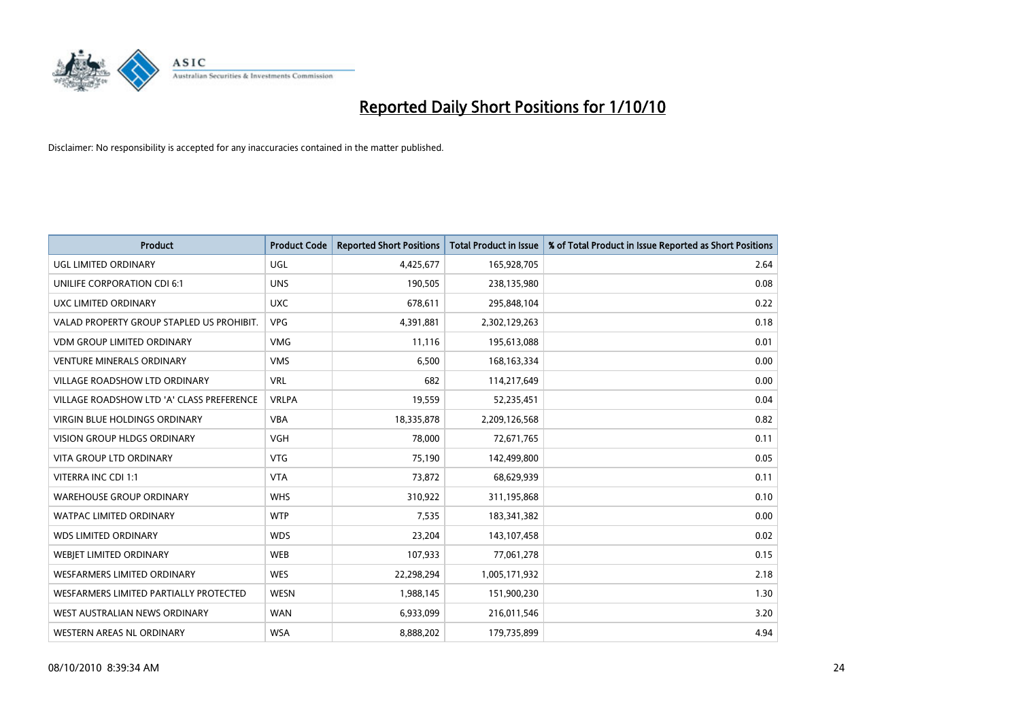

| <b>Product</b>                            | <b>Product Code</b> | <b>Reported Short Positions</b> | <b>Total Product in Issue</b> | % of Total Product in Issue Reported as Short Positions |
|-------------------------------------------|---------------------|---------------------------------|-------------------------------|---------------------------------------------------------|
| UGL LIMITED ORDINARY                      | <b>UGL</b>          | 4,425,677                       | 165,928,705                   | 2.64                                                    |
| UNILIFE CORPORATION CDI 6:1               | <b>UNS</b>          | 190,505                         | 238,135,980                   | 0.08                                                    |
| UXC LIMITED ORDINARY                      | <b>UXC</b>          | 678,611                         | 295,848,104                   | 0.22                                                    |
| VALAD PROPERTY GROUP STAPLED US PROHIBIT. | <b>VPG</b>          | 4,391,881                       | 2,302,129,263                 | 0.18                                                    |
| <b>VDM GROUP LIMITED ORDINARY</b>         | <b>VMG</b>          | 11,116                          | 195,613,088                   | 0.01                                                    |
| <b>VENTURE MINERALS ORDINARY</b>          | <b>VMS</b>          | 6,500                           | 168, 163, 334                 | 0.00                                                    |
| <b>VILLAGE ROADSHOW LTD ORDINARY</b>      | <b>VRL</b>          | 682                             | 114,217,649                   | 0.00                                                    |
| VILLAGE ROADSHOW LTD 'A' CLASS PREFERENCE | <b>VRLPA</b>        | 19,559                          | 52,235,451                    | 0.04                                                    |
| <b>VIRGIN BLUE HOLDINGS ORDINARY</b>      | <b>VBA</b>          | 18,335,878                      | 2,209,126,568                 | 0.82                                                    |
| <b>VISION GROUP HLDGS ORDINARY</b>        | <b>VGH</b>          | 78,000                          | 72,671,765                    | 0.11                                                    |
| VITA GROUP LTD ORDINARY                   | <b>VTG</b>          | 75,190                          | 142,499,800                   | 0.05                                                    |
| VITERRA INC CDI 1:1                       | <b>VTA</b>          | 73,872                          | 68,629,939                    | 0.11                                                    |
| <b>WAREHOUSE GROUP ORDINARY</b>           | <b>WHS</b>          | 310,922                         | 311,195,868                   | 0.10                                                    |
| <b>WATPAC LIMITED ORDINARY</b>            | <b>WTP</b>          | 7,535                           | 183,341,382                   | 0.00                                                    |
| <b>WDS LIMITED ORDINARY</b>               | <b>WDS</b>          | 23,204                          | 143,107,458                   | 0.02                                                    |
| WEBJET LIMITED ORDINARY                   | <b>WEB</b>          | 107,933                         | 77,061,278                    | 0.15                                                    |
| WESFARMERS LIMITED ORDINARY               | <b>WES</b>          | 22,298,294                      | 1,005,171,932                 | 2.18                                                    |
| WESFARMERS LIMITED PARTIALLY PROTECTED    | <b>WESN</b>         | 1,988,145                       | 151,900,230                   | 1.30                                                    |
| WEST AUSTRALIAN NEWS ORDINARY             | <b>WAN</b>          | 6,933,099                       | 216,011,546                   | 3.20                                                    |
| WESTERN AREAS NL ORDINARY                 | <b>WSA</b>          | 8,888,202                       | 179,735,899                   | 4.94                                                    |